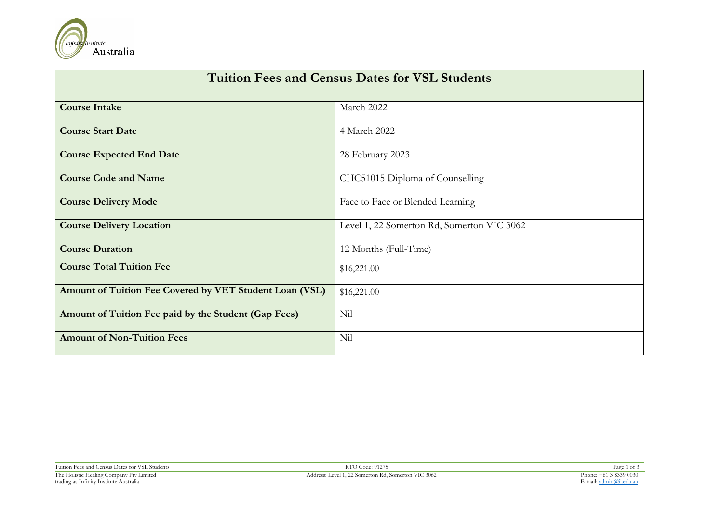

| <b>Tuition Fees and Census Dates for VSL Students</b>   |                                            |  |  |  |
|---------------------------------------------------------|--------------------------------------------|--|--|--|
| <b>Course Intake</b>                                    | March 2022                                 |  |  |  |
| <b>Course Start Date</b>                                | 4 March 2022                               |  |  |  |
| <b>Course Expected End Date</b>                         | 28 February 2023                           |  |  |  |
| <b>Course Code and Name</b>                             | CHC51015 Diploma of Counselling            |  |  |  |
| <b>Course Delivery Mode</b>                             | Face to Face or Blended Learning           |  |  |  |
| <b>Course Delivery Location</b>                         | Level 1, 22 Somerton Rd, Somerton VIC 3062 |  |  |  |
| <b>Course Duration</b>                                  | 12 Months (Full-Time)                      |  |  |  |
| <b>Course Total Tuition Fee</b>                         | \$16,221.00                                |  |  |  |
| Amount of Tuition Fee Covered by VET Student Loan (VSL) | \$16,221.00                                |  |  |  |
| Amount of Tuition Fee paid by the Student (Gap Fees)    | Nil                                        |  |  |  |
| <b>Amount of Non-Tuition Fees</b>                       | Nil                                        |  |  |  |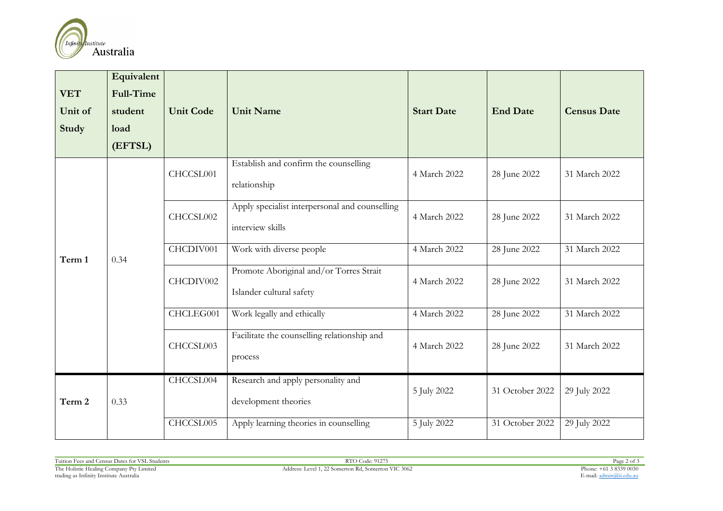

| <b>VET</b><br>Unit of<br>Study | Equivalent<br><b>Full-Time</b><br>student<br>load<br>(EFTSL) | <b>Unit Code</b> | <b>Unit Name</b>                                                    | <b>Start Date</b> | <b>End Date</b> | <b>Census Date</b> |
|--------------------------------|--------------------------------------------------------------|------------------|---------------------------------------------------------------------|-------------------|-----------------|--------------------|
|                                |                                                              | CHCCSL001        | Establish and confirm the counselling<br>relationship               | 4 March 2022      | 28 June 2022    | 31 March 2022      |
|                                | 0.34                                                         | CHCCSL002        | Apply specialist interpersonal and counselling<br>interview skills  | 4 March 2022      | 28 June 2022    | 31 March 2022      |
| Term 1                         |                                                              | CHCDIV001        | Work with diverse people                                            | 4 March 2022      | 28 June 2022    | 31 March 2022      |
|                                |                                                              | CHCDIV002        | Promote Aboriginal and/or Torres Strait<br>Islander cultural safety | 4 March 2022      | 28 June 2022    | 31 March 2022      |
|                                |                                                              | CHCLEG001        | Work legally and ethically                                          | 4 March 2022      | 28 June 2022    | 31 March 2022      |
|                                |                                                              | CHCCSL003        | Facilitate the counselling relationship and<br>process              | 4 March 2022      | 28 June 2022    | 31 March 2022      |
| Term 2                         | 0.33                                                         | CHCCSL004        | Research and apply personality and<br>development theories          | 5 July 2022       | 31 October 2022 | 29 July 2022       |
|                                |                                                              | CHCCSL005        | Apply learning theories in counselling                              | 5 July 2022       | 31 October 2022 | 29 July 2022       |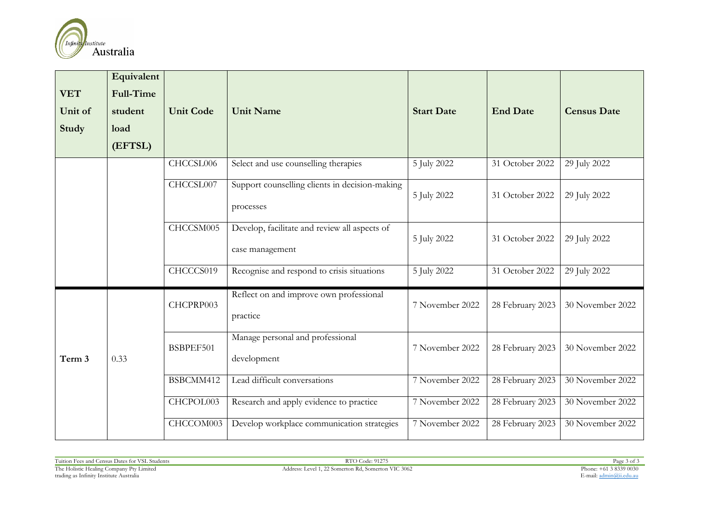

| <b>VET</b><br>Unit of<br><b>Study</b> | Equivalent<br><b>Full-Time</b><br>student<br>load<br>(EFTSL) | <b>Unit Code</b> | <b>Unit Name</b>                                                 | <b>Start Date</b> | <b>End Date</b>  | <b>Census Date</b> |
|---------------------------------------|--------------------------------------------------------------|------------------|------------------------------------------------------------------|-------------------|------------------|--------------------|
|                                       |                                                              | CHCCSL006        | Select and use counselling therapies                             | 5 July 2022       | 31 October 2022  | 29 July 2022       |
|                                       |                                                              | CHCCSL007        | Support counselling clients in decision-making<br>processes      | 5 July 2022       | 31 October 2022  | 29 July 2022       |
|                                       |                                                              | CHCCSM005        | Develop, facilitate and review all aspects of<br>case management | 5 July 2022       | 31 October 2022  | 29 July 2022       |
|                                       |                                                              | CHCCCS019        | Recognise and respond to crisis situations                       | 5 July 2022       | 31 October 2022  | 29 July 2022       |
| Term 3                                | 0.33                                                         | CHCPRP003        | Reflect on and improve own professional<br>practice              | 7 November 2022   | 28 February 2023 | 30 November 2022   |
|                                       |                                                              | BSBPEF501        | Manage personal and professional<br>development                  | 7 November 2022   | 28 February 2023 | 30 November 2022   |
|                                       |                                                              | BSBCMM412        | Lead difficult conversations                                     | 7 November 2022   | 28 February 2023 | 30 November 2022   |
|                                       |                                                              | CHCPOL003        | Research and apply evidence to practice                          | 7 November 2022   | 28 February 2023 | 30 November 2022   |
|                                       |                                                              | CHCCOM003        | Develop workplace communication strategies                       | 7 November 2022   | 28 February 2023 | 30 November 2022   |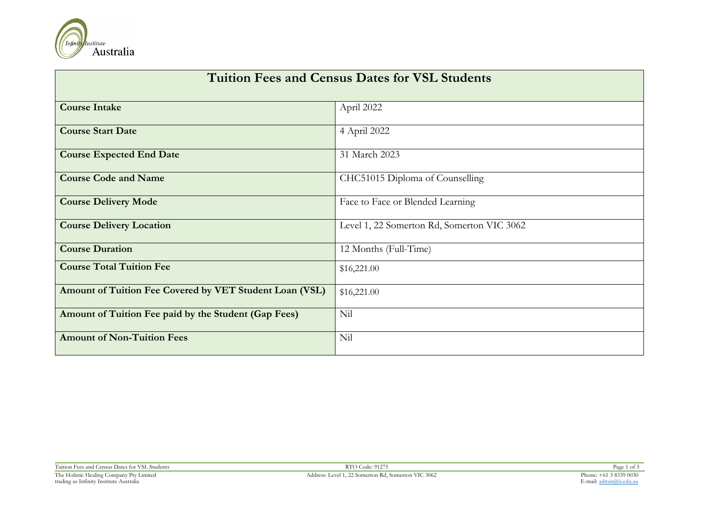

| <b>Tuition Fees and Census Dates for VSL Students</b>   |                                            |  |  |  |  |
|---------------------------------------------------------|--------------------------------------------|--|--|--|--|
| <b>Course Intake</b>                                    | April 2022                                 |  |  |  |  |
| <b>Course Start Date</b>                                | 4 April 2022                               |  |  |  |  |
| <b>Course Expected End Date</b>                         | 31 March 2023                              |  |  |  |  |
| <b>Course Code and Name</b>                             | CHC51015 Diploma of Counselling            |  |  |  |  |
| <b>Course Delivery Mode</b>                             | Face to Face or Blended Learning           |  |  |  |  |
| <b>Course Delivery Location</b>                         | Level 1, 22 Somerton Rd, Somerton VIC 3062 |  |  |  |  |
| <b>Course Duration</b>                                  | 12 Months (Full-Time)                      |  |  |  |  |
| <b>Course Total Tuition Fee</b>                         | \$16,221.00                                |  |  |  |  |
| Amount of Tuition Fee Covered by VET Student Loan (VSL) | \$16,221.00                                |  |  |  |  |
| Amount of Tuition Fee paid by the Student (Gap Fees)    | Nil                                        |  |  |  |  |
| <b>Amount of Non-Tuition Fees</b>                       | Nil                                        |  |  |  |  |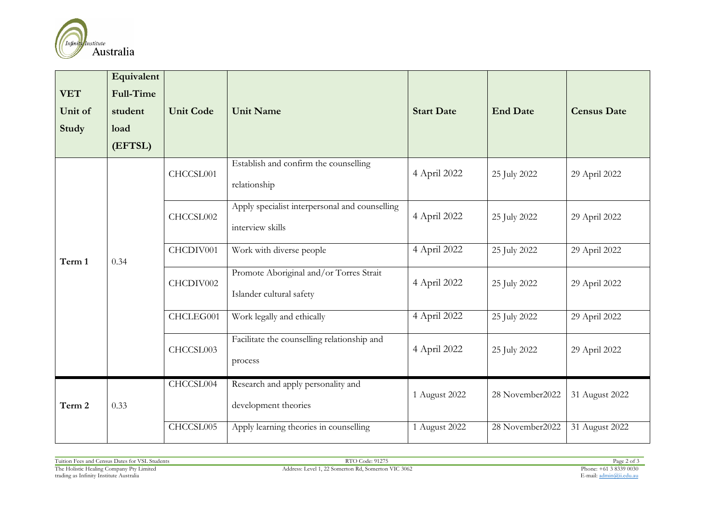

| <b>VET</b><br>Unit of<br>Study | Equivalent<br><b>Full-Time</b><br>student<br>load<br>(EFTSL) | <b>Unit Code</b> | <b>Unit Name</b>                                                    | <b>Start Date</b> | <b>End Date</b> | <b>Census Date</b> |
|--------------------------------|--------------------------------------------------------------|------------------|---------------------------------------------------------------------|-------------------|-----------------|--------------------|
|                                |                                                              | CHCCSL001        | Establish and confirm the counselling<br>relationship               | 4 April 2022      | 25 July 2022    | 29 April 2022      |
|                                | 0.34                                                         | CHCCSL002        | Apply specialist interpersonal and counselling<br>interview skills  | 4 April 2022      | 25 July 2022    | 29 April 2022      |
| Term 1                         |                                                              | CHCDIV001        | Work with diverse people                                            | 4 April 2022      | 25 July 2022    | 29 April 2022      |
|                                |                                                              | CHCDIV002        | Promote Aboriginal and/or Torres Strait<br>Islander cultural safety | 4 April 2022      | 25 July 2022    | 29 April 2022      |
|                                |                                                              | CHCLEG001        | Work legally and ethically                                          | 4 April 2022      | 25 July 2022    | 29 April 2022      |
|                                |                                                              | CHCCSL003        | Facilitate the counselling relationship and<br>process              | 4 April 2022      | 25 July 2022    | 29 April 2022      |
| Term 2                         | 0.33                                                         | CHCCSL004        | Research and apply personality and<br>development theories          | 1 August 2022     | 28 November2022 | 31 August 2022     |
|                                |                                                              | CHCCSL005        | Apply learning theories in counselling                              | 1 August 2022     | 28 November2022 | 31 August 2022     |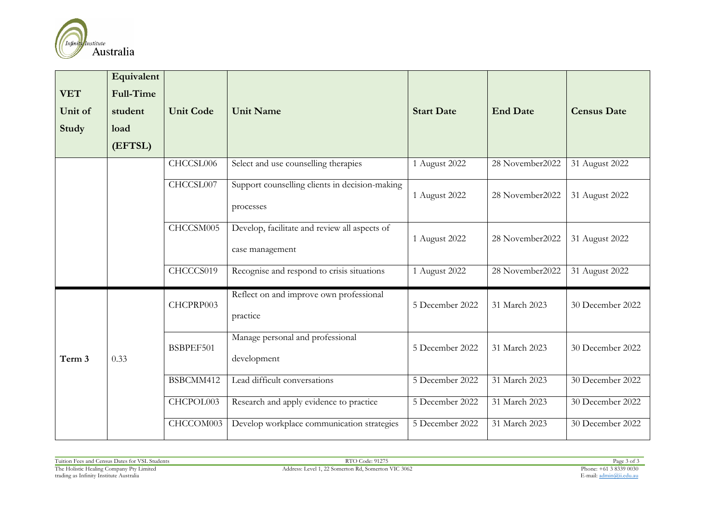

| <b>VET</b><br>Unit of<br>Study | Equivalent<br><b>Full-Time</b><br>student<br>load<br>(EFTSL) | <b>Unit Code</b> | <b>Unit Name</b>                                                 | <b>Start Date</b> | <b>End Date</b> | <b>Census Date</b> |
|--------------------------------|--------------------------------------------------------------|------------------|------------------------------------------------------------------|-------------------|-----------------|--------------------|
|                                |                                                              | CHCCSL006        | Select and use counselling therapies                             | 1 August 2022     | 28 November2022 | 31 August 2022     |
|                                |                                                              | CHCCSL007        | Support counselling clients in decision-making<br>processes      | 1 August 2022     | 28 November2022 | 31 August 2022     |
|                                |                                                              | CHCCSM005        | Develop, facilitate and review all aspects of<br>case management | 1 August 2022     | 28 November2022 | 31 August 2022     |
|                                |                                                              | CHCCCS019        | Recognise and respond to crisis situations                       | 1 August 2022     | 28 November2022 | 31 August 2022     |
|                                |                                                              | CHCPRP003        | Reflect on and improve own professional<br>practice              | 5 December 2022   | 31 March 2023   | 30 December 2022   |
| Term 3                         | 0.33                                                         | BSBPEF501        | Manage personal and professional<br>development                  | 5 December 2022   | 31 March 2023   | 30 December 2022   |
|                                |                                                              | BSBCMM412        | Lead difficult conversations                                     | 5 December 2022   | 31 March 2023   | 30 December 2022   |
|                                |                                                              | CHCPOL003        | Research and apply evidence to practice                          | 5 December 2022   | 31 March 2023   | 30 December 2022   |
|                                |                                                              | CHCCOM003        | Develop workplace communication strategies                       | 5 December 2022   | 31 March 2023   | 30 December 2022   |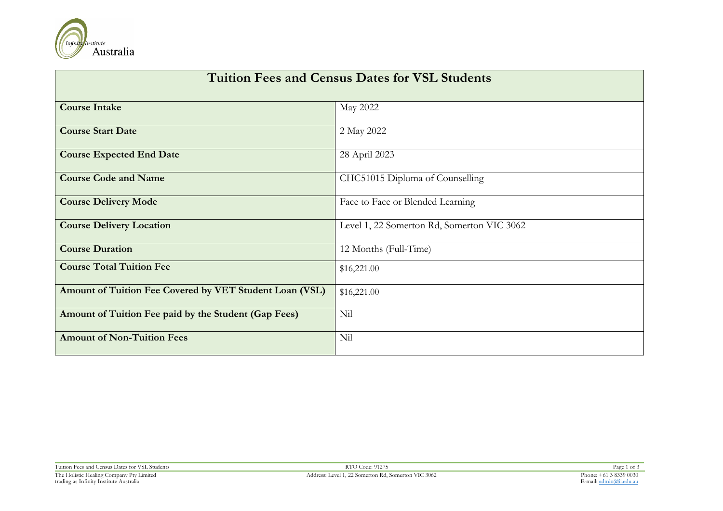

| <b>Tuition Fees and Census Dates for VSL Students</b>   |                                            |  |  |  |  |
|---------------------------------------------------------|--------------------------------------------|--|--|--|--|
| <b>Course Intake</b>                                    | May 2022                                   |  |  |  |  |
| <b>Course Start Date</b>                                | 2 May 2022                                 |  |  |  |  |
| <b>Course Expected End Date</b>                         | 28 April 2023                              |  |  |  |  |
| <b>Course Code and Name</b>                             | CHC51015 Diploma of Counselling            |  |  |  |  |
| <b>Course Delivery Mode</b>                             | Face to Face or Blended Learning           |  |  |  |  |
| <b>Course Delivery Location</b>                         | Level 1, 22 Somerton Rd, Somerton VIC 3062 |  |  |  |  |
| <b>Course Duration</b>                                  | 12 Months (Full-Time)                      |  |  |  |  |
| <b>Course Total Tuition Fee</b>                         | \$16,221.00                                |  |  |  |  |
| Amount of Tuition Fee Covered by VET Student Loan (VSL) | \$16,221.00                                |  |  |  |  |
| Amount of Tuition Fee paid by the Student (Gap Fees)    | Nil                                        |  |  |  |  |
| <b>Amount of Non-Tuition Fees</b>                       | Nil                                        |  |  |  |  |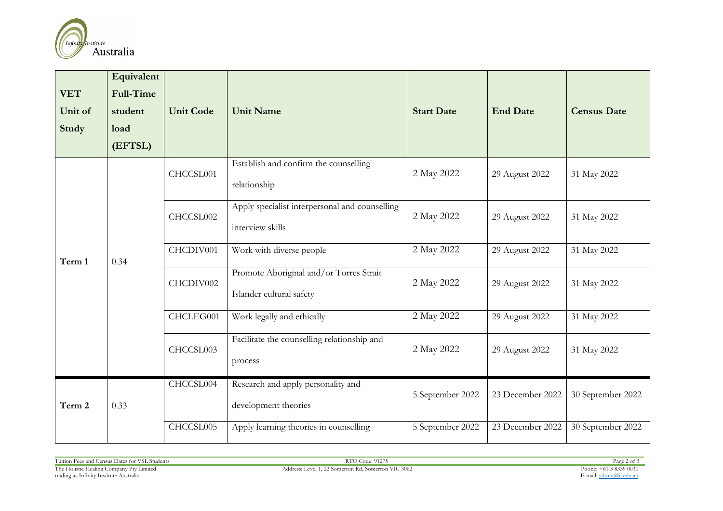

| <b>VET</b><br>Unit of<br>Study | Equivalent<br><b>Full-Time</b><br>student<br>load<br>(EFTSL) | <b>Unit Code</b> | <b>Unit Name</b>                                                    | <b>Start Date</b> | <b>End Date</b>  | <b>Census Date</b> |
|--------------------------------|--------------------------------------------------------------|------------------|---------------------------------------------------------------------|-------------------|------------------|--------------------|
|                                |                                                              | CHCCSL001        | Establish and confirm the counselling<br>relationship               | 2 May 2022        | 29 August 2022   | 31 May 2022        |
|                                | 0.34                                                         | CHCCSL002        | Apply specialist interpersonal and counselling<br>interview skills  | 2 May 2022        | 29 August 2022   | 31 May 2022        |
| Term 1                         |                                                              | CHCDIV001        | Work with diverse people                                            | 2 May 2022        | 29 August 2022   | 31 May 2022        |
|                                |                                                              | CHCDIV002        | Promote Aboriginal and/or Torres Strait<br>Islander cultural safety | 2 May 2022        | 29 August 2022   | 31 May 2022        |
|                                |                                                              | CHCLEG001        | Work legally and ethically                                          | 2 May 2022        | 29 August 2022   | 31 May 2022        |
|                                |                                                              | CHCCSL003        | Facilitate the counselling relationship and<br>process              | 2 May 2022        | 29 August 2022   | 31 May 2022        |
| Term 2                         | 0.33                                                         | CHCCSL004        | Research and apply personality and<br>development theories          | 5 September 2022  | 23 December 2022 | 30 September 2022  |
|                                |                                                              | CHCCSL005        | Apply learning theories in counselling                              | 5 September 2022  | 23 December 2022 | 30 September 2022  |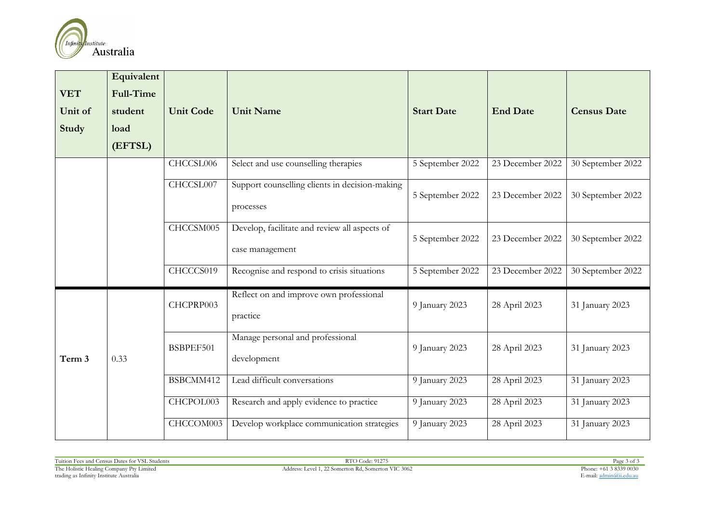

| <b>VET</b><br>Unit of<br><b>Study</b> | Equivalent<br><b>Full-Time</b><br>student<br>load<br>(EFTSL) | <b>Unit Code</b> | <b>Unit Name</b>                                                 | <b>Start Date</b> | <b>End Date</b>  | <b>Census Date</b> |
|---------------------------------------|--------------------------------------------------------------|------------------|------------------------------------------------------------------|-------------------|------------------|--------------------|
|                                       |                                                              | CHCCSL006        | Select and use counselling therapies                             | 5 September 2022  | 23 December 2022 | 30 September 2022  |
|                                       |                                                              | CHCCSL007        | Support counselling clients in decision-making<br>processes      | 5 September 2022  | 23 December 2022 | 30 September 2022  |
|                                       |                                                              | CHCCSM005        | Develop, facilitate and review all aspects of<br>case management | 5 September 2022  | 23 December 2022 | 30 September 2022  |
|                                       |                                                              | CHCCCS019        | Recognise and respond to crisis situations                       | 5 September 2022  | 23 December 2022 | 30 September 2022  |
| Term 3                                | 0.33                                                         | CHCPRP003        | Reflect on and improve own professional<br>practice              | 9 January 2023    | 28 April 2023    | 31 January 2023    |
|                                       |                                                              | BSBPEF501        | Manage personal and professional<br>development                  | 9 January 2023    | 28 April 2023    | 31 January 2023    |
|                                       |                                                              | BSBCMM412        | Lead difficult conversations                                     | 9 January 2023    | 28 April 2023    | 31 January 2023    |
|                                       |                                                              | CHCPOL003        | Research and apply evidence to practice                          | 9 January 2023    | 28 April 2023    | 31 January 2023    |
|                                       |                                                              | CHCCOM003        | Develop workplace communication strategies                       | 9 January 2023    | 28 April 2023    | 31 January 2023    |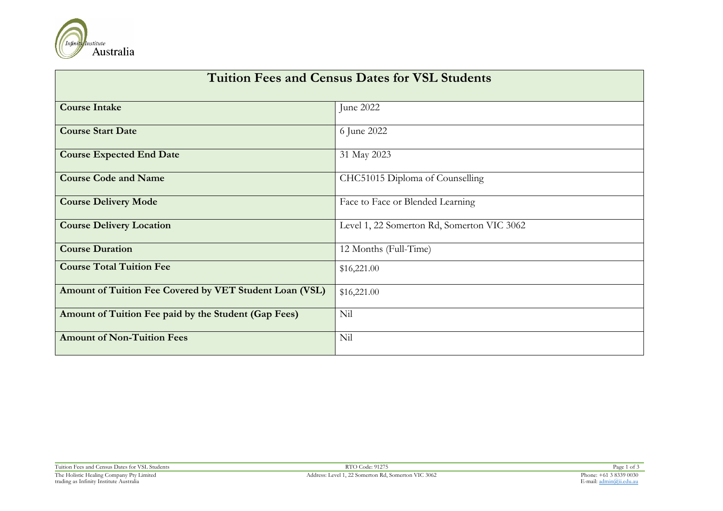

| <b>Tuition Fees and Census Dates for VSL Students</b>   |                                            |  |  |  |  |
|---------------------------------------------------------|--------------------------------------------|--|--|--|--|
| <b>Course Intake</b>                                    | June 2022                                  |  |  |  |  |
| <b>Course Start Date</b>                                | 6 June 2022                                |  |  |  |  |
| <b>Course Expected End Date</b>                         | 31 May 2023                                |  |  |  |  |
| <b>Course Code and Name</b>                             | CHC51015 Diploma of Counselling            |  |  |  |  |
| <b>Course Delivery Mode</b>                             | Face to Face or Blended Learning           |  |  |  |  |
| <b>Course Delivery Location</b>                         | Level 1, 22 Somerton Rd, Somerton VIC 3062 |  |  |  |  |
| <b>Course Duration</b>                                  | 12 Months (Full-Time)                      |  |  |  |  |
| <b>Course Total Tuition Fee</b>                         | \$16,221.00                                |  |  |  |  |
| Amount of Tuition Fee Covered by VET Student Loan (VSL) | \$16,221.00                                |  |  |  |  |
| Amount of Tuition Fee paid by the Student (Gap Fees)    | Nil                                        |  |  |  |  |
| <b>Amount of Non-Tuition Fees</b>                       | Nil                                        |  |  |  |  |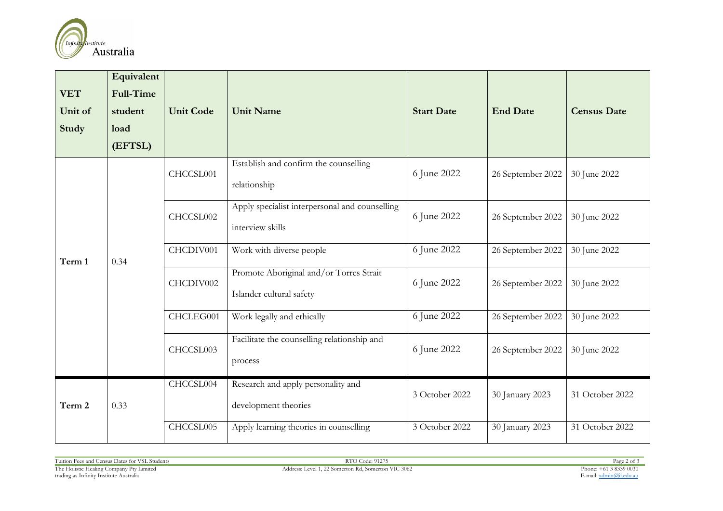

| <b>VET</b><br>Unit of<br>Study | Equivalent<br><b>Full-Time</b><br>student<br>load<br>(EFTSL) | <b>Unit Code</b> | <b>Unit Name</b>                                                    | <b>Start Date</b> | <b>End Date</b>   | <b>Census Date</b> |
|--------------------------------|--------------------------------------------------------------|------------------|---------------------------------------------------------------------|-------------------|-------------------|--------------------|
|                                |                                                              | CHCCSL001        | Establish and confirm the counselling<br>relationship               | 6 June 2022       | 26 September 2022 | 30 June 2022       |
|                                | 0.34                                                         | CHCCSL002        | Apply specialist interpersonal and counselling<br>interview skills  | 6 June 2022       | 26 September 2022 | 30 June 2022       |
| Term 1                         |                                                              | CHCDIV001        | Work with diverse people                                            | 6 June 2022       | 26 September 2022 | 30 June 2022       |
|                                |                                                              | CHCDIV002        | Promote Aboriginal and/or Torres Strait<br>Islander cultural safety | 6 June 2022       | 26 September 2022 | 30 June 2022       |
|                                |                                                              | CHCLEG001        | Work legally and ethically                                          | 6 June 2022       | 26 September 2022 | 30 June 2022       |
|                                |                                                              | CHCCSL003        | Facilitate the counselling relationship and<br>process              | 6 June 2022       | 26 September 2022 | 30 June 2022       |
| Term 2                         | 0.33                                                         | CHCCSL004        | Research and apply personality and<br>development theories          | 3 October 2022    | 30 January 2023   | 31 October 2022    |
|                                |                                                              | CHCCSL005        | Apply learning theories in counselling                              | 3 October 2022    | 30 January 2023   | 31 October 2022    |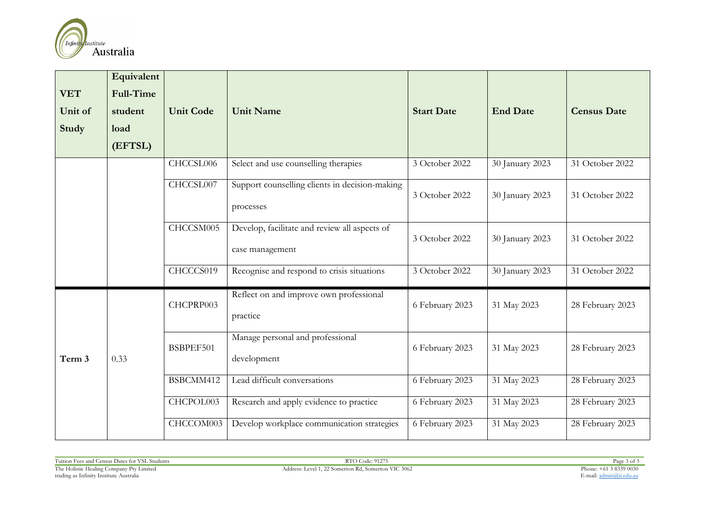

| <b>VET</b><br>Unit of<br>Study | Equivalent<br><b>Full-Time</b><br>student<br>load<br>(EFTSL) | <b>Unit Code</b> | <b>Unit Name</b>                                                 | <b>Start Date</b> | <b>End Date</b> | <b>Census Date</b> |
|--------------------------------|--------------------------------------------------------------|------------------|------------------------------------------------------------------|-------------------|-----------------|--------------------|
|                                |                                                              | CHCCSL006        | Select and use counselling therapies                             | 3 October 2022    | 30 January 2023 | 31 October 2022    |
|                                |                                                              | CHCCSL007        | Support counselling clients in decision-making<br>processes      | 3 October 2022    | 30 January 2023 | 31 October 2022    |
|                                |                                                              | CHCCSM005        | Develop, facilitate and review all aspects of<br>case management | 3 October 2022    | 30 January 2023 | 31 October 2022    |
|                                |                                                              | CHCCCS019        | Recognise and respond to crisis situations                       | 3 October 2022    | 30 January 2023 | 31 October 2022    |
| Term 3                         | 0.33                                                         | CHCPRP003        | Reflect on and improve own professional<br>practice              | 6 February 2023   | 31 May 2023     | 28 February 2023   |
|                                |                                                              | BSBPEF501        | Manage personal and professional<br>development                  | 6 February 2023   | 31 May 2023     | 28 February 2023   |
|                                |                                                              | BSBCMM412        | Lead difficult conversations                                     | 6 February 2023   | 31 May 2023     | 28 February 2023   |
|                                |                                                              | CHCPOL003        | Research and apply evidence to practice                          | 6 February 2023   | 31 May 2023     | 28 February 2023   |
|                                |                                                              | CHCCOM003        | Develop workplace communication strategies                       | 6 February 2023   | 31 May 2023     | 28 February 2023   |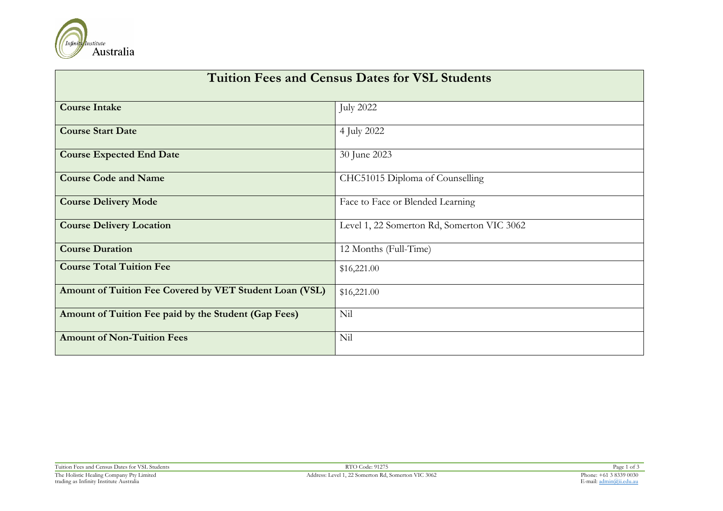

| <b>Tuition Fees and Census Dates for VSL Students</b>   |                                            |  |  |  |
|---------------------------------------------------------|--------------------------------------------|--|--|--|
| <b>Course Intake</b>                                    | <b>July 2022</b>                           |  |  |  |
| <b>Course Start Date</b>                                | 4 July 2022                                |  |  |  |
| <b>Course Expected End Date</b>                         | 30 June 2023                               |  |  |  |
| <b>Course Code and Name</b>                             | CHC51015 Diploma of Counselling            |  |  |  |
| <b>Course Delivery Mode</b>                             | Face to Face or Blended Learning           |  |  |  |
| <b>Course Delivery Location</b>                         | Level 1, 22 Somerton Rd, Somerton VIC 3062 |  |  |  |
| <b>Course Duration</b>                                  | 12 Months (Full-Time)                      |  |  |  |
| <b>Course Total Tuition Fee</b>                         | \$16,221.00                                |  |  |  |
| Amount of Tuition Fee Covered by VET Student Loan (VSL) | \$16,221.00                                |  |  |  |
| Amount of Tuition Fee paid by the Student (Gap Fees)    | Nil                                        |  |  |  |
| <b>Amount of Non-Tuition Fees</b>                       | Nil                                        |  |  |  |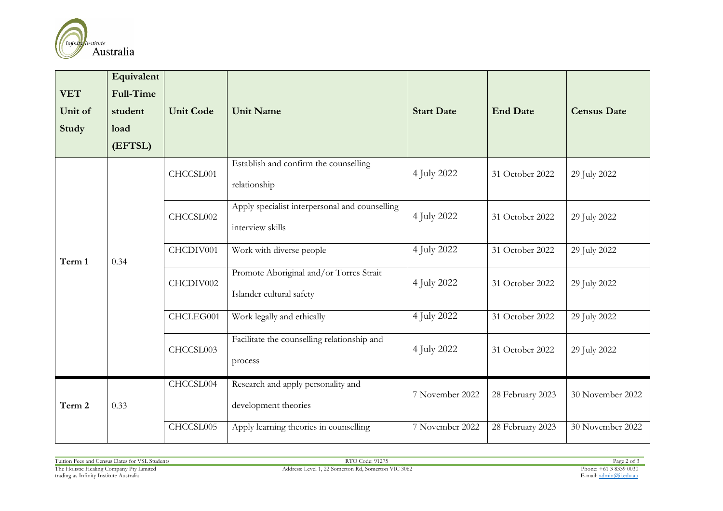

| <b>VET</b><br>Unit of<br>Study | Equivalent<br><b>Full-Time</b><br>student<br>load<br>(EFTSL) | <b>Unit Code</b> | <b>Unit Name</b>                                                    | <b>Start Date</b> | <b>End Date</b>  | <b>Census Date</b> |
|--------------------------------|--------------------------------------------------------------|------------------|---------------------------------------------------------------------|-------------------|------------------|--------------------|
|                                |                                                              | CHCCSL001        | Establish and confirm the counselling<br>relationship               | 4 July 2022       | 31 October 2022  | 29 July 2022       |
|                                | 0.34                                                         | CHCCSL002        | Apply specialist interpersonal and counselling<br>interview skills  | 4 July 2022       | 31 October 2022  | 29 July 2022       |
| Term 1                         |                                                              | CHCDIV001        | Work with diverse people                                            | 4 July 2022       | 31 October 2022  | 29 July 2022       |
|                                |                                                              | CHCDIV002        | Promote Aboriginal and/or Torres Strait<br>Islander cultural safety | 4 July 2022       | 31 October 2022  | 29 July 2022       |
|                                |                                                              | CHCLEG001        | Work legally and ethically                                          | 4 July 2022       | 31 October 2022  | 29 July 2022       |
|                                |                                                              | CHCCSL003        | Facilitate the counselling relationship and<br>process              | 4 July 2022       | 31 October 2022  | 29 July 2022       |
| Term 2                         | 0.33                                                         | CHCCSL004        | Research and apply personality and<br>development theories          | 7 November 2022   | 28 February 2023 | 30 November 2022   |
|                                |                                                              | CHCCSL005        | Apply learning theories in counselling                              | 7 November 2022   | 28 February 2023 | 30 November 2022   |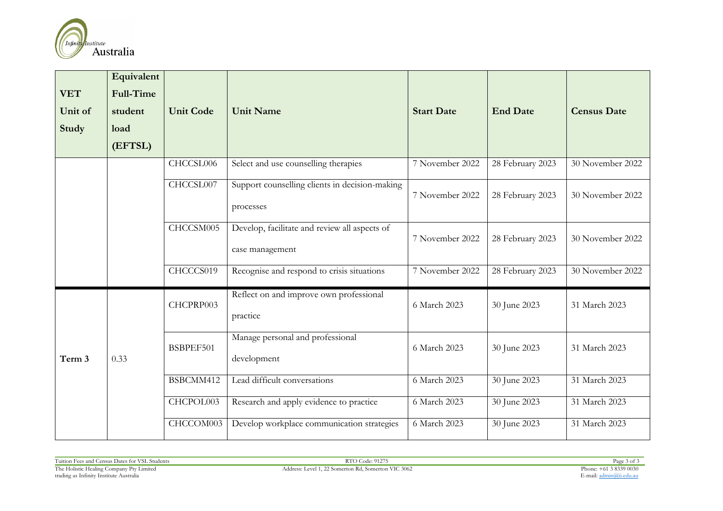

| <b>VET</b><br>Unit of<br>Study | Equivalent<br><b>Full-Time</b><br>student<br>load<br>(EFTSL) | <b>Unit Code</b>       | <b>Unit Name</b>                                                                       | <b>Start Date</b> | <b>End Date</b>  | <b>Census Date</b> |
|--------------------------------|--------------------------------------------------------------|------------------------|----------------------------------------------------------------------------------------|-------------------|------------------|--------------------|
|                                |                                                              | CHCCSL006<br>CHCCSL007 | Select and use counselling therapies<br>Support counselling clients in decision-making | 7 November 2022   | 28 February 2023 | 30 November 2022   |
|                                |                                                              |                        | processes                                                                              | 7 November 2022   | 28 February 2023 | 30 November 2022   |
|                                |                                                              | CHCCSM005              | Develop, facilitate and review all aspects of<br>case management                       | 7 November 2022   | 28 February 2023 | 30 November 2022   |
|                                |                                                              | CHCCCS019              | Recognise and respond to crisis situations                                             | 7 November 2022   | 28 February 2023 | 30 November 2022   |
|                                |                                                              | CHCPRP003              | Reflect on and improve own professional<br>practice                                    | 6 March 2023      | 30 June 2023     | 31 March 2023      |
| Term 3                         | 0.33                                                         | BSBPEF501              | Manage personal and professional<br>development                                        | 6 March 2023      | 30 June 2023     | 31 March 2023      |
|                                |                                                              | BSBCMM412              | Lead difficult conversations                                                           | 6 March 2023      | 30 June 2023     | 31 March 2023      |
|                                |                                                              | CHCPOL003              | Research and apply evidence to practice                                                | 6 March 2023      | 30 June 2023     | 31 March 2023      |
|                                |                                                              | CHCCOM003              | Develop workplace communication strategies                                             | 6 March 2023      | 30 June 2023     | 31 March 2023      |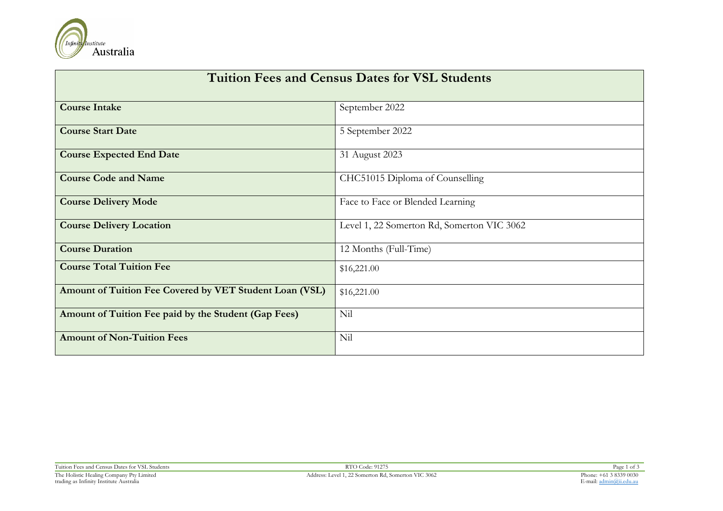

| <b>Tuition Fees and Census Dates for VSL Students</b>   |                                            |  |  |  |
|---------------------------------------------------------|--------------------------------------------|--|--|--|
| <b>Course Intake</b>                                    | September 2022                             |  |  |  |
| <b>Course Start Date</b>                                | 5 September 2022                           |  |  |  |
| <b>Course Expected End Date</b>                         | 31 August 2023                             |  |  |  |
| <b>Course Code and Name</b>                             | CHC51015 Diploma of Counselling            |  |  |  |
| <b>Course Delivery Mode</b>                             | Face to Face or Blended Learning           |  |  |  |
| <b>Course Delivery Location</b>                         | Level 1, 22 Somerton Rd, Somerton VIC 3062 |  |  |  |
| <b>Course Duration</b>                                  | 12 Months (Full-Time)                      |  |  |  |
| <b>Course Total Tuition Fee</b>                         | \$16,221.00                                |  |  |  |
| Amount of Tuition Fee Covered by VET Student Loan (VSL) | \$16,221.00                                |  |  |  |
| Amount of Tuition Fee paid by the Student (Gap Fees)    | Nil                                        |  |  |  |
| <b>Amount of Non-Tuition Fees</b>                       | Nil                                        |  |  |  |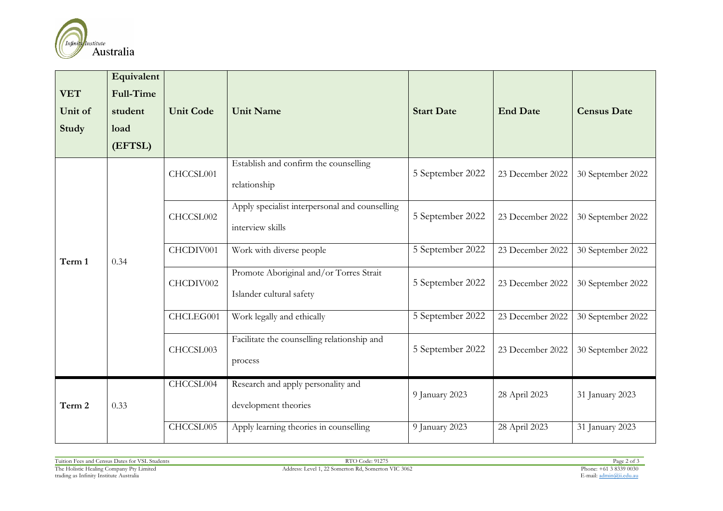

| <b>VET</b><br>Unit of<br><b>Study</b> | Equivalent<br><b>Full-Time</b><br>student<br>load<br>(EFTSL) | <b>Unit Code</b> | <b>Unit Name</b>                                                    | <b>Start Date</b> | <b>End Date</b>  | <b>Census Date</b> |
|---------------------------------------|--------------------------------------------------------------|------------------|---------------------------------------------------------------------|-------------------|------------------|--------------------|
|                                       |                                                              | CHCCSL001        | Establish and confirm the counselling<br>relationship               | 5 September 2022  | 23 December 2022 | 30 September 2022  |
|                                       | 0.34                                                         | CHCCSL002        | Apply specialist interpersonal and counselling<br>interview skills  | 5 September 2022  | 23 December 2022 | 30 September 2022  |
| Term 1                                |                                                              | CHCDIV001        | Work with diverse people                                            | 5 September 2022  | 23 December 2022 | 30 September 2022  |
|                                       |                                                              | CHCDIV002        | Promote Aboriginal and/or Torres Strait<br>Islander cultural safety | 5 September 2022  | 23 December 2022 | 30 September 2022  |
|                                       |                                                              | CHCLEG001        | Work legally and ethically                                          | 5 September 2022  | 23 December 2022 | 30 September 2022  |
|                                       |                                                              | CHCCSL003        | Facilitate the counselling relationship and<br>process              | 5 September 2022  | 23 December 2022 | 30 September 2022  |
| Term 2                                | 0.33                                                         | CHCCSL004        | Research and apply personality and<br>development theories          | 9 January 2023    | 28 April 2023    | 31 January 2023    |
|                                       |                                                              | CHCCSL005        | Apply learning theories in counselling                              | 9 January 2023    | 28 April 2023    | 31 January 2023    |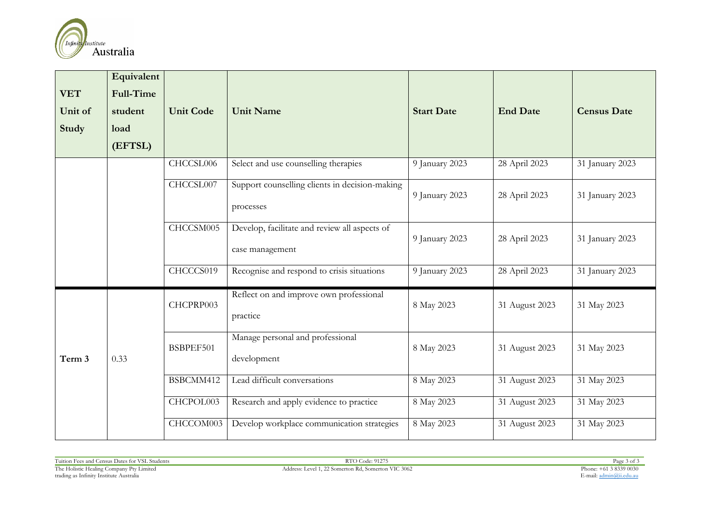

| <b>VET</b><br>Unit of<br>Study | Equivalent<br><b>Full-Time</b><br>student<br>load<br>(EFTSL) | <b>Unit Code</b> | <b>Unit Name</b>                                                 | <b>Start Date</b> | <b>End Date</b> | <b>Census Date</b> |
|--------------------------------|--------------------------------------------------------------|------------------|------------------------------------------------------------------|-------------------|-----------------|--------------------|
|                                |                                                              | CHCCSL006        | Select and use counselling therapies                             | 9 January 2023    | 28 April 2023   | 31 January 2023    |
|                                |                                                              | CHCCSL007        | Support counselling clients in decision-making<br>processes      | 9 January 2023    | 28 April 2023   | 31 January 2023    |
|                                |                                                              | CHCCSM005        | Develop, facilitate and review all aspects of<br>case management | 9 January 2023    | 28 April 2023   | 31 January 2023    |
|                                |                                                              | CHCCCS019        | Recognise and respond to crisis situations                       | 9 January 2023    | 28 April 2023   | 31 January 2023    |
| Term 3                         | 0.33                                                         | CHCPRP003        | Reflect on and improve own professional<br>practice              | 8 May 2023        | 31 August 2023  | 31 May 2023        |
|                                |                                                              | BSBPEF501        | Manage personal and professional<br>development                  | 8 May 2023        | 31 August 2023  | 31 May 2023        |
|                                |                                                              | BSBCMM412        | Lead difficult conversations                                     | 8 May 2023        | 31 August 2023  | 31 May 2023        |
|                                |                                                              | CHCPOL003        | Research and apply evidence to practice                          | 8 May 2023        | 31 August 2023  | 31 May 2023        |
|                                |                                                              | CHCCOM003        | Develop workplace communication strategies                       | 8 May 2023        | 31 August 2023  | 31 May 2023        |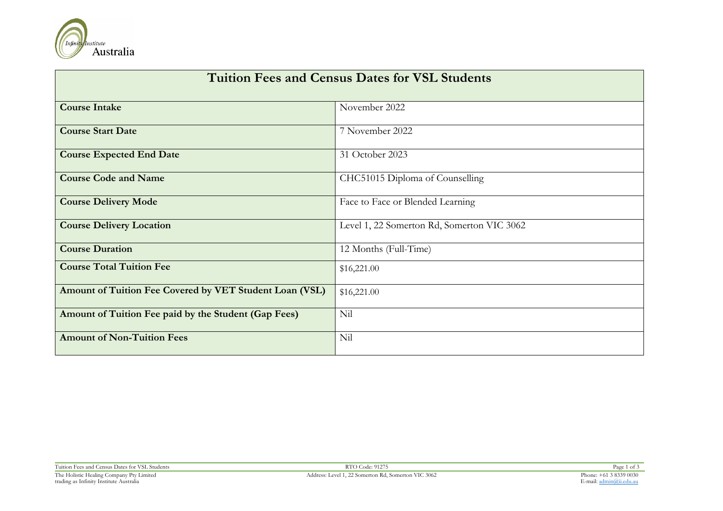

| <b>Tuition Fees and Census Dates for VSL Students</b>   |                                            |  |  |  |
|---------------------------------------------------------|--------------------------------------------|--|--|--|
| <b>Course Intake</b>                                    | November 2022                              |  |  |  |
| <b>Course Start Date</b>                                | 7 November 2022                            |  |  |  |
| <b>Course Expected End Date</b>                         | 31 October 2023                            |  |  |  |
| <b>Course Code and Name</b>                             | CHC51015 Diploma of Counselling            |  |  |  |
| <b>Course Delivery Mode</b>                             | Face to Face or Blended Learning           |  |  |  |
| <b>Course Delivery Location</b>                         | Level 1, 22 Somerton Rd, Somerton VIC 3062 |  |  |  |
| <b>Course Duration</b>                                  | 12 Months (Full-Time)                      |  |  |  |
| <b>Course Total Tuition Fee</b>                         | \$16,221.00                                |  |  |  |
| Amount of Tuition Fee Covered by VET Student Loan (VSL) | \$16,221.00                                |  |  |  |
| Amount of Tuition Fee paid by the Student (Gap Fees)    | Nil                                        |  |  |  |
| <b>Amount of Non-Tuition Fees</b>                       | Nil                                        |  |  |  |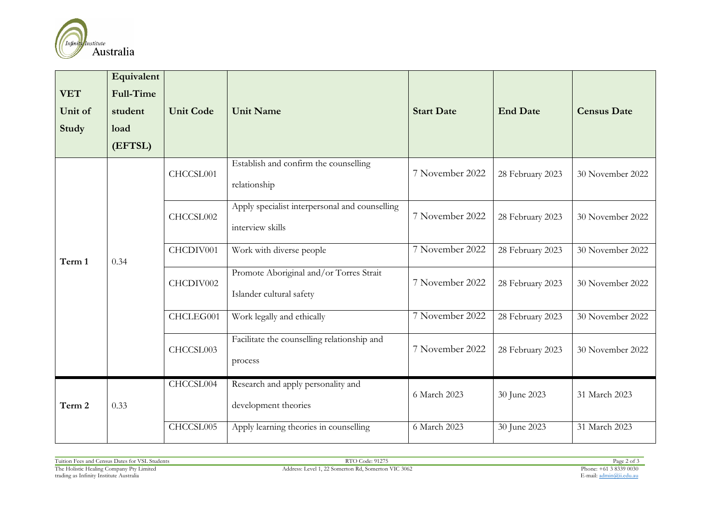

| <b>VET</b><br>Unit of<br>Study | Equivalent<br><b>Full-Time</b><br>student<br>load<br>(EFTSL) | <b>Unit Code</b> | <b>Unit Name</b>                                                    | <b>Start Date</b> | <b>End Date</b>  | <b>Census Date</b> |
|--------------------------------|--------------------------------------------------------------|------------------|---------------------------------------------------------------------|-------------------|------------------|--------------------|
|                                |                                                              | CHCCSL001        | Establish and confirm the counselling<br>relationship               | 7 November 2022   | 28 February 2023 | 30 November 2022   |
| Term 1                         | 0.34                                                         | CHCCSL002        | Apply specialist interpersonal and counselling<br>interview skills  | 7 November 2022   | 28 February 2023 | 30 November 2022   |
|                                |                                                              | CHCDIV001        | Work with diverse people                                            | 7 November 2022   | 28 February 2023 | 30 November 2022   |
|                                |                                                              | CHCDIV002        | Promote Aboriginal and/or Torres Strait<br>Islander cultural safety | 7 November 2022   | 28 February 2023 | 30 November 2022   |
|                                |                                                              | CHCLEG001        | Work legally and ethically                                          | 7 November 2022   | 28 February 2023 | 30 November 2022   |
|                                |                                                              | CHCCSL003        | Facilitate the counselling relationship and<br>process              | 7 November 2022   | 28 February 2023 | 30 November 2022   |
| Term 2                         | 0.33                                                         | CHCCSL004        | Research and apply personality and<br>development theories          | 6 March 2023      | 30 June 2023     | 31 March 2023      |
|                                |                                                              | CHCCSL005        | Apply learning theories in counselling                              | 6 March 2023      | 30 June 2023     | 31 March 2023      |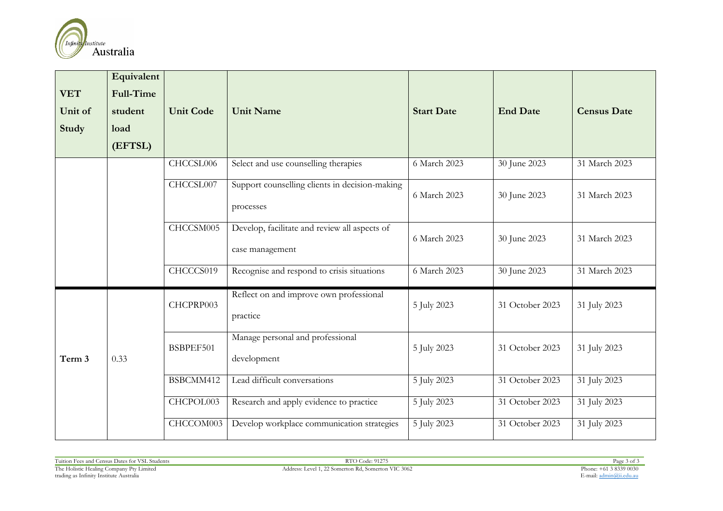

| <b>VET</b><br>Unit of<br>Study | Equivalent<br><b>Full-Time</b><br>student<br>load<br>(EFTSL) | <b>Unit Code</b> | <b>Unit Name</b>                                                 | <b>Start Date</b> | <b>End Date</b> | <b>Census Date</b> |
|--------------------------------|--------------------------------------------------------------|------------------|------------------------------------------------------------------|-------------------|-----------------|--------------------|
|                                |                                                              | CHCCSL006        | Select and use counselling therapies                             | 6 March 2023      | 30 June 2023    | 31 March 2023      |
|                                |                                                              | CHCCSL007        | Support counselling clients in decision-making<br>processes      | 6 March 2023      | 30 June 2023    | 31 March 2023      |
|                                |                                                              | CHCCSM005        | Develop, facilitate and review all aspects of<br>case management | 6 March 2023      | 30 June 2023    | 31 March 2023      |
|                                |                                                              | CHCCCS019        | Recognise and respond to crisis situations                       | $6$ March 2023    | 30 June 2023    | 31 March 2023      |
| Term 3                         | 0.33                                                         | CHCPRP003        | Reflect on and improve own professional<br>practice              | 5 July 2023       | 31 October 2023 | 31 July 2023       |
|                                |                                                              | BSBPEF501        | Manage personal and professional<br>development                  | 5 July 2023       | 31 October 2023 | 31 July 2023       |
|                                |                                                              | BSBCMM412        | Lead difficult conversations                                     | 5 July 2023       | 31 October 2023 | 31 July 2023       |
|                                |                                                              | CHCPOL003        | Research and apply evidence to practice                          | 5 July 2023       | 31 October 2023 | 31 July 2023       |
|                                |                                                              | CHCCOM003        | Develop workplace communication strategies                       | 5 July 2023       | 31 October 2023 | 31 July 2023       |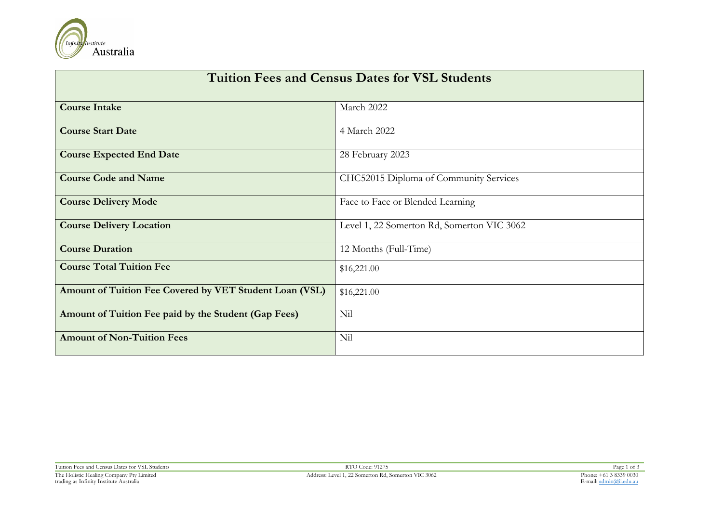

| <b>Tuition Fees and Census Dates for VSL Students</b>   |                                            |  |  |  |
|---------------------------------------------------------|--------------------------------------------|--|--|--|
| <b>Course Intake</b>                                    | March 2022                                 |  |  |  |
| <b>Course Start Date</b>                                | 4 March 2022                               |  |  |  |
| <b>Course Expected End Date</b>                         | 28 February 2023                           |  |  |  |
| <b>Course Code and Name</b>                             | CHC52015 Diploma of Community Services     |  |  |  |
| <b>Course Delivery Mode</b>                             | Face to Face or Blended Learning           |  |  |  |
| <b>Course Delivery Location</b>                         | Level 1, 22 Somerton Rd, Somerton VIC 3062 |  |  |  |
| <b>Course Duration</b>                                  | 12 Months (Full-Time)                      |  |  |  |
| <b>Course Total Tuition Fee</b>                         | \$16,221.00                                |  |  |  |
| Amount of Tuition Fee Covered by VET Student Loan (VSL) | \$16,221.00                                |  |  |  |
| Amount of Tuition Fee paid by the Student (Gap Fees)    | Nil                                        |  |  |  |
| <b>Amount of Non-Tuition Fees</b>                       | Nil                                        |  |  |  |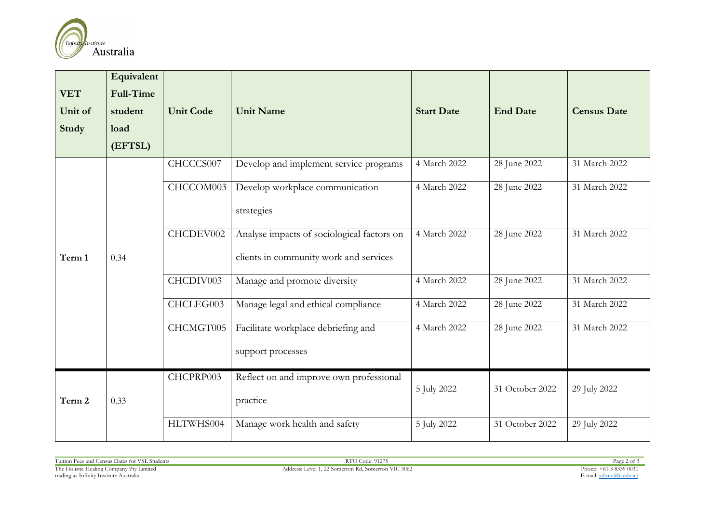

| <b>VET</b><br>Unit of<br><b>Study</b> | Equivalent<br><b>Full-Time</b><br>student<br>load<br>(EFTSL) | <b>Unit Code</b> | <b>Unit Name</b>                                                                     | <b>Start Date</b> | <b>End Date</b> | <b>Census Date</b> |
|---------------------------------------|--------------------------------------------------------------|------------------|--------------------------------------------------------------------------------------|-------------------|-----------------|--------------------|
|                                       |                                                              | CHCCCS007        | Develop and implement service programs                                               | 4 March 2022      | 28 June 2022    | 31 March 2022      |
|                                       |                                                              | CHCCOM003        | Develop workplace communication<br>strategies                                        | 4 March 2022      | 28 June 2022    | 31 March 2022      |
| Term 1                                | 0.34                                                         | CHCDEV002        | Analyse impacts of sociological factors on<br>clients in community work and services | 4 March 2022      | 28 June 2022    | 31 March 2022      |
|                                       |                                                              | CHCDIV003        | Manage and promote diversity                                                         | 4 March 2022      | 28 June 2022    | 31 March 2022      |
|                                       |                                                              | CHCLEG003        | Manage legal and ethical compliance                                                  | 4 March 2022      | 28 June 2022    | 31 March 2022      |
|                                       |                                                              | CHCMGT005        | Facilitate workplace debriefing and<br>support processes                             | 4 March 2022      | 28 June 2022    | 31 March 2022      |
| Term 2                                | 0.33                                                         | CHCPRP003        | Reflect on and improve own professional<br>practice                                  | 5 July 2022       | 31 October 2022 | 29 July 2022       |
|                                       |                                                              | HLTWHS004        | Manage work health and safety                                                        | 5 July 2022       | 31 October 2022 | 29 July 2022       |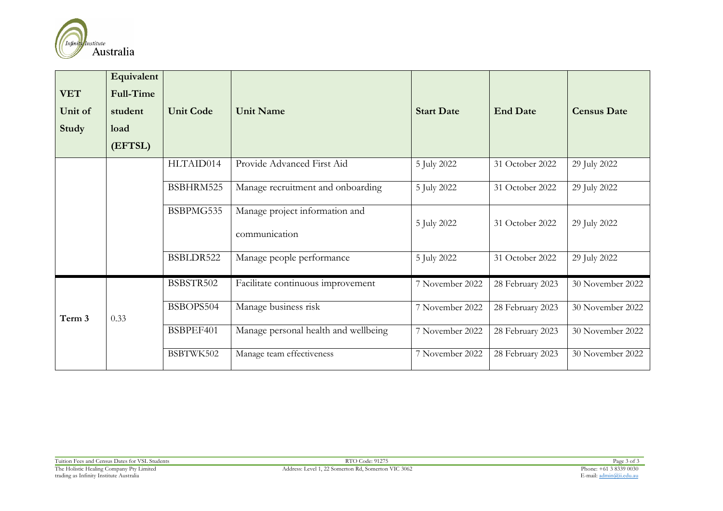

| <b>VET</b><br>Unit of<br>Study | Equivalent<br>Full-Time<br>student<br>load<br>(EFTSL) | <b>Unit Code</b> | <b>Unit Name</b>                                | <b>Start Date</b> | <b>End Date</b>  | <b>Census Date</b> |
|--------------------------------|-------------------------------------------------------|------------------|-------------------------------------------------|-------------------|------------------|--------------------|
|                                |                                                       | HLTAID014        | Provide Advanced First Aid                      | 5 July 2022       | 31 October 2022  | 29 July 2022       |
|                                |                                                       | BSBHRM525        | Manage recruitment and onboarding               | 5 July 2022       | 31 October 2022  | 29 July 2022       |
|                                |                                                       | BSBPMG535        | Manage project information and<br>communication | 5 July 2022       | 31 October 2022  | 29 July 2022       |
|                                |                                                       | BSBLDR522        | Manage people performance                       | 5 July 2022       | 31 October 2022  | 29 July 2022       |
| Term 3                         |                                                       | BSBSTR502        | Facilitate continuous improvement               | 7 November 2022   | 28 February 2023 | 30 November 2022   |
|                                | 0.33                                                  | BSBOPS504        | Manage business risk                            | 7 November 2022   | 28 February 2023 | 30 November 2022   |
|                                |                                                       | BSBPEF401        | Manage personal health and wellbeing            | 7 November 2022   | 28 February 2023 | 30 November 2022   |
|                                |                                                       | BSBTWK502        | Manage team effectiveness                       | 7 November 2022   | 28 February 2023 | 30 November 2022   |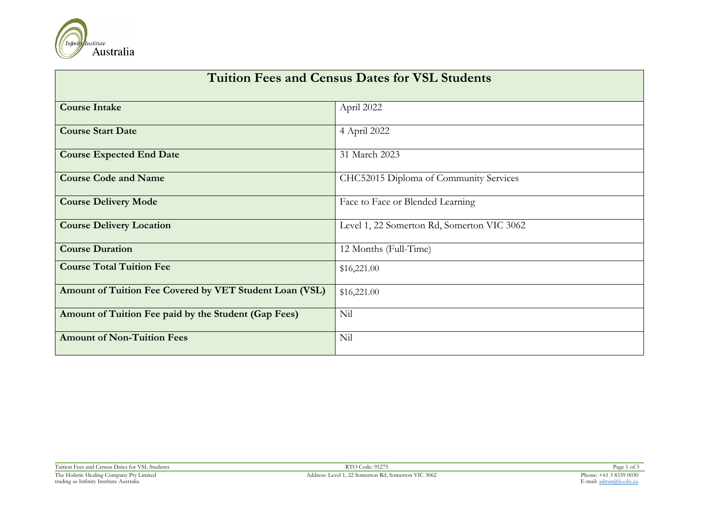

| <b>Tuition Fees and Census Dates for VSL Students</b>   |                                            |  |  |  |
|---------------------------------------------------------|--------------------------------------------|--|--|--|
| <b>Course Intake</b>                                    | April 2022                                 |  |  |  |
| <b>Course Start Date</b>                                | 4 April 2022                               |  |  |  |
| <b>Course Expected End Date</b>                         | 31 March 2023                              |  |  |  |
| <b>Course Code and Name</b>                             | CHC52015 Diploma of Community Services     |  |  |  |
| <b>Course Delivery Mode</b>                             | Face to Face or Blended Learning           |  |  |  |
| <b>Course Delivery Location</b>                         | Level 1, 22 Somerton Rd, Somerton VIC 3062 |  |  |  |
| <b>Course Duration</b>                                  | 12 Months (Full-Time)                      |  |  |  |
| <b>Course Total Tuition Fee</b>                         | \$16,221.00                                |  |  |  |
| Amount of Tuition Fee Covered by VET Student Loan (VSL) | \$16,221.00                                |  |  |  |
| Amount of Tuition Fee paid by the Student (Gap Fees)    | Nil                                        |  |  |  |
| <b>Amount of Non-Tuition Fees</b>                       | Nil                                        |  |  |  |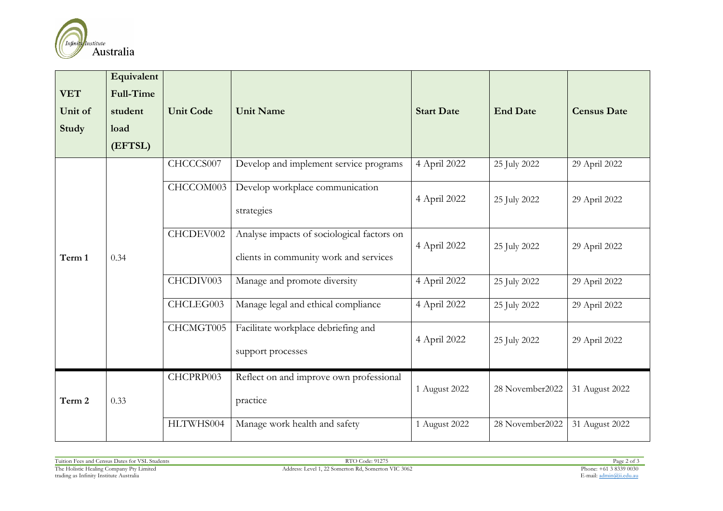

| <b>VET</b><br>Unit of<br>Study | Equivalent<br>Full-Time<br>student<br>load<br>(EFTSL) | <b>Unit Code</b> | <b>Unit Name</b>                                                                     | <b>Start Date</b> | <b>End Date</b> | <b>Census Date</b> |
|--------------------------------|-------------------------------------------------------|------------------|--------------------------------------------------------------------------------------|-------------------|-----------------|--------------------|
|                                | 0.34                                                  | CHCCCS007        | Develop and implement service programs                                               | 4 April 2022      | 25 July 2022    | 29 April 2022      |
| Term 1                         |                                                       | CHCCOM003        | Develop workplace communication<br>strategies                                        | 4 April 2022      | 25 July 2022    | 29 April 2022      |
|                                |                                                       | CHCDEV002        | Analyse impacts of sociological factors on<br>clients in community work and services | 4 April 2022      | 25 July 2022    | 29 April 2022      |
|                                |                                                       | CHCDIV003        | Manage and promote diversity                                                         | 4 April 2022      | 25 July 2022    | 29 April 2022      |
|                                |                                                       | CHCLEG003        | Manage legal and ethical compliance                                                  | 4 April 2022      | 25 July 2022    | 29 April 2022      |
|                                |                                                       | CHCMGT005        | Facilitate workplace debriefing and<br>support processes                             | 4 April 2022      | 25 July 2022    | 29 April 2022      |
| Term 2                         | 0.33                                                  | CHCPRP003        | Reflect on and improve own professional<br>practice                                  | 1 August 2022     | 28 November2022 | 31 August 2022     |
|                                |                                                       | HLTWHS004        | Manage work health and safety                                                        | 1 August 2022     | 28 November2022 | 31 August 2022     |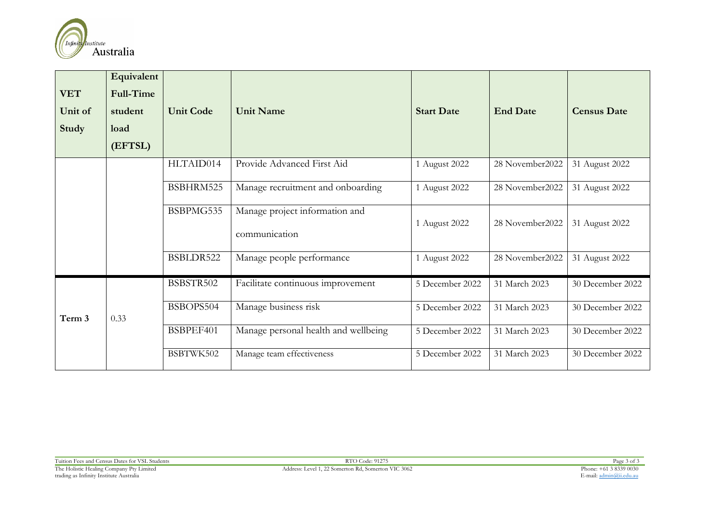

| <b>VET</b><br>Unit of<br>Study | Equivalent<br>Full-Time<br>student<br>load<br>(EFTSL) | <b>Unit Code</b> | <b>Unit Name</b>                                | <b>Start Date</b> | <b>End Date</b> | <b>Census Date</b> |
|--------------------------------|-------------------------------------------------------|------------------|-------------------------------------------------|-------------------|-----------------|--------------------|
|                                |                                                       | HLTAID014        | Provide Advanced First Aid                      | 1 August 2022     | 28 November2022 | 31 August 2022     |
|                                |                                                       | BSBHRM525        | Manage recruitment and onboarding               | 1 August 2022     | 28 November2022 | 31 August 2022     |
|                                |                                                       | BSBPMG535        | Manage project information and<br>communication | 1 August 2022     | 28 November2022 | 31 August 2022     |
|                                |                                                       | BSBLDR522        | Manage people performance                       | 1 August 2022     | 28 November2022 | 31 August 2022     |
| Term 3                         |                                                       | BSBSTR502        | Facilitate continuous improvement               | 5 December 2022   | 31 March 2023   | 30 December 2022   |
|                                | 0.33                                                  | BSBOPS504        | Manage business risk                            | 5 December 2022   | 31 March 2023   | 30 December 2022   |
|                                |                                                       | BSBPEF401        | Manage personal health and wellbeing            | 5 December 2022   | 31 March 2023   | 30 December 2022   |
|                                |                                                       | BSBTWK502        | Manage team effectiveness                       | 5 December 2022   | 31 March 2023   | 30 December 2022   |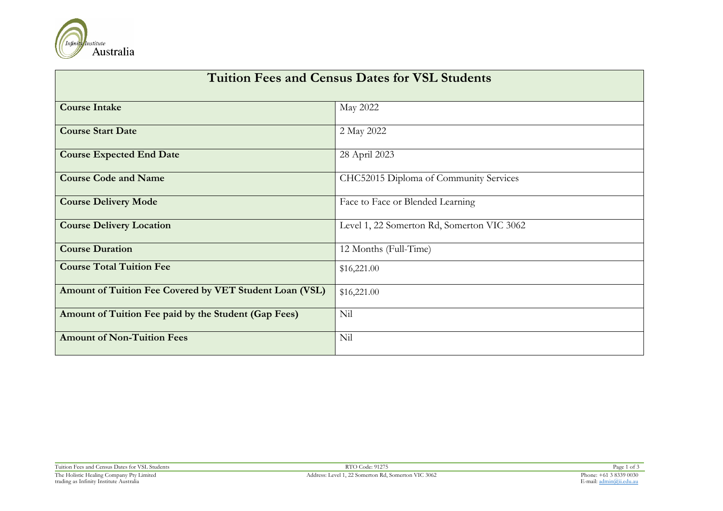

| <b>Tuition Fees and Census Dates for VSL Students</b>   |                                            |  |  |  |  |
|---------------------------------------------------------|--------------------------------------------|--|--|--|--|
| <b>Course Intake</b>                                    | May 2022                                   |  |  |  |  |
| <b>Course Start Date</b>                                | 2 May 2022                                 |  |  |  |  |
| <b>Course Expected End Date</b>                         | 28 April 2023                              |  |  |  |  |
| <b>Course Code and Name</b>                             | CHC52015 Diploma of Community Services     |  |  |  |  |
| <b>Course Delivery Mode</b>                             | Face to Face or Blended Learning           |  |  |  |  |
| <b>Course Delivery Location</b>                         | Level 1, 22 Somerton Rd, Somerton VIC 3062 |  |  |  |  |
| <b>Course Duration</b>                                  | 12 Months (Full-Time)                      |  |  |  |  |
| <b>Course Total Tuition Fee</b>                         | \$16,221.00                                |  |  |  |  |
| Amount of Tuition Fee Covered by VET Student Loan (VSL) | \$16,221.00                                |  |  |  |  |
| Amount of Tuition Fee paid by the Student (Gap Fees)    | Nil                                        |  |  |  |  |
| <b>Amount of Non-Tuition Fees</b>                       | Nil                                        |  |  |  |  |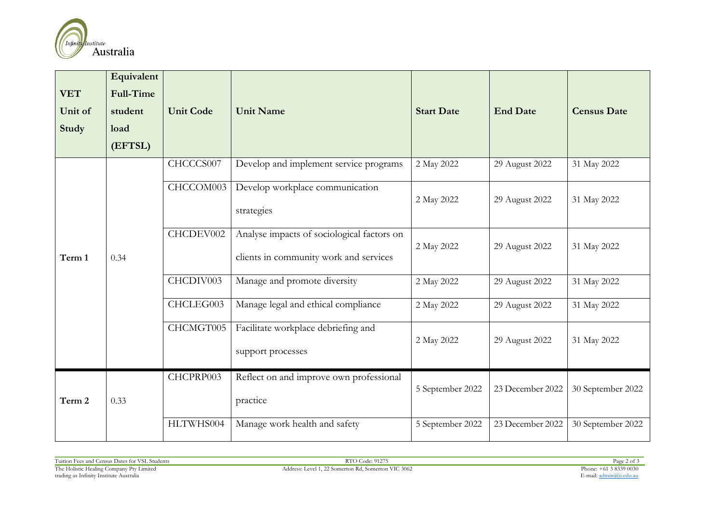

| <b>VET</b><br>Unit of<br><b>Study</b> | Equivalent<br><b>Full-Time</b><br>student<br>load<br>(EFTSL) | <b>Unit Code</b> | <b>Unit Name</b>                                                                     | <b>Start Date</b> | <b>End Date</b>  | <b>Census Date</b> |
|---------------------------------------|--------------------------------------------------------------|------------------|--------------------------------------------------------------------------------------|-------------------|------------------|--------------------|
|                                       |                                                              | CHCCCS007        | Develop and implement service programs                                               | 2 May 2022        | 29 August 2022   | 31 May 2022        |
| Term 1                                | 0.34                                                         | CHCCOM003        | Develop workplace communication<br>strategies                                        | 2 May 2022        | 29 August 2022   | 31 May 2022        |
|                                       |                                                              | CHCDEV002        | Analyse impacts of sociological factors on<br>clients in community work and services | 2 May 2022        | 29 August 2022   | 31 May 2022        |
|                                       |                                                              | CHCDIV003        | Manage and promote diversity                                                         | 2 May 2022        | 29 August 2022   | 31 May 2022        |
|                                       |                                                              | CHCLEG003        | Manage legal and ethical compliance                                                  | 2 May 2022        | 29 August 2022   | 31 May 2022        |
|                                       |                                                              | CHCMGT005        | Facilitate workplace debriefing and<br>support processes                             | 2 May 2022        | 29 August 2022   | 31 May 2022        |
| Term 2                                | 0.33                                                         | CHCPRP003        | Reflect on and improve own professional<br>practice                                  | 5 September 2022  | 23 December 2022 | 30 September 2022  |
|                                       |                                                              | HLTWHS004        | Manage work health and safety                                                        | 5 September 2022  | 23 December 2022 | 30 September 2022  |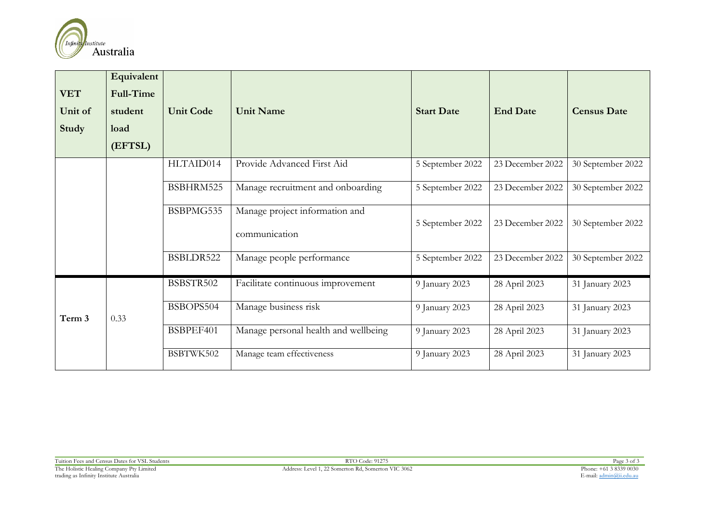

| <b>VET</b><br>Unit of<br>Study | Equivalent<br><b>Full-Time</b><br>student<br>load<br>(EFTSL) | <b>Unit Code</b> | <b>Unit Name</b>                                | <b>Start Date</b> | <b>End Date</b>  | <b>Census Date</b> |
|--------------------------------|--------------------------------------------------------------|------------------|-------------------------------------------------|-------------------|------------------|--------------------|
|                                |                                                              | HLTAID014        | Provide Advanced First Aid                      | 5 September 2022  | 23 December 2022 | 30 September 2022  |
|                                |                                                              | BSBHRM525        | Manage recruitment and onboarding               | 5 September 2022  | 23 December 2022 | 30 September 2022  |
|                                |                                                              | BSBPMG535        | Manage project information and<br>communication | 5 September 2022  | 23 December 2022 | 30 September 2022  |
|                                |                                                              | BSBLDR522        | Manage people performance                       | 5 September 2022  | 23 December 2022 | 30 September 2022  |
| Term 3                         |                                                              | BSBSTR502        | Facilitate continuous improvement               | 9 January 2023    | 28 April 2023    | 31 January 2023    |
|                                | 0.33                                                         | BSBOPS504        | Manage business risk                            | 9 January 2023    | 28 April 2023    | 31 January 2023    |
|                                |                                                              | BSBPEF401        | Manage personal health and wellbeing            | 9 January 2023    | 28 April 2023    | 31 January 2023    |
|                                |                                                              | BSBTWK502        | Manage team effectiveness                       | 9 January 2023    | 28 April 2023    | 31 January 2023    |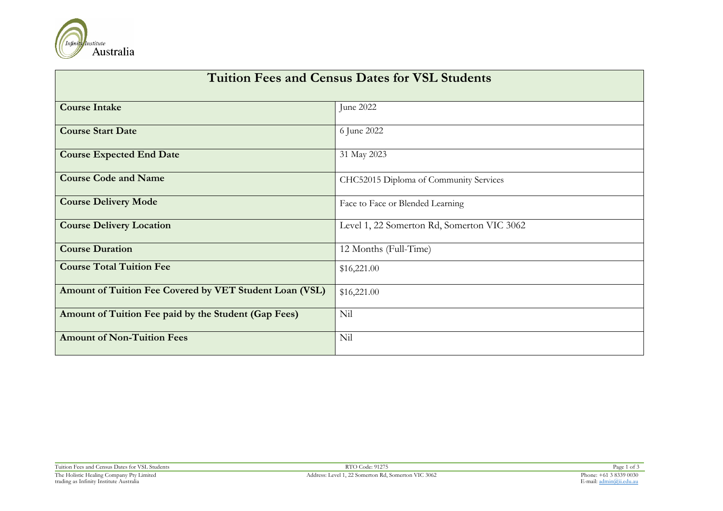

| <b>Tuition Fees and Census Dates for VSL Students</b>   |                                            |  |  |  |
|---------------------------------------------------------|--------------------------------------------|--|--|--|
| <b>Course Intake</b>                                    | June 2022                                  |  |  |  |
| <b>Course Start Date</b>                                | 6 June 2022                                |  |  |  |
| <b>Course Expected End Date</b>                         | 31 May 2023                                |  |  |  |
| <b>Course Code and Name</b>                             | CHC52015 Diploma of Community Services     |  |  |  |
| <b>Course Delivery Mode</b>                             | Face to Face or Blended Learning           |  |  |  |
| <b>Course Delivery Location</b>                         | Level 1, 22 Somerton Rd, Somerton VIC 3062 |  |  |  |
| <b>Course Duration</b>                                  | 12 Months (Full-Time)                      |  |  |  |
| <b>Course Total Tuition Fee</b>                         | \$16,221.00                                |  |  |  |
| Amount of Tuition Fee Covered by VET Student Loan (VSL) | \$16,221.00                                |  |  |  |
| Amount of Tuition Fee paid by the Student (Gap Fees)    | Nil                                        |  |  |  |
| <b>Amount of Non-Tuition Fees</b>                       | Nil                                        |  |  |  |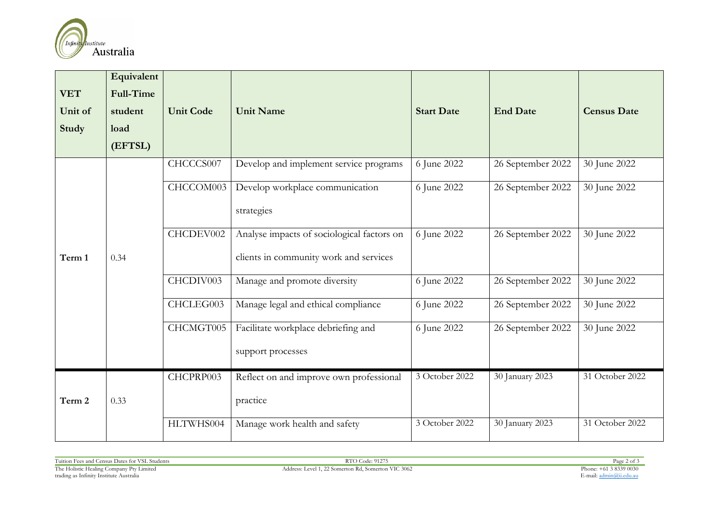

| <b>VET</b> | Equivalent<br><b>Full-Time</b> |                  |                                            |                   |                   |                    |
|------------|--------------------------------|------------------|--------------------------------------------|-------------------|-------------------|--------------------|
| Unit of    | student                        | <b>Unit Code</b> | <b>Unit Name</b>                           | <b>Start Date</b> | <b>End Date</b>   | <b>Census Date</b> |
| Study      | load                           |                  |                                            |                   |                   |                    |
|            | (EFTSL)                        |                  |                                            |                   |                   |                    |
|            |                                | CHCCCS007        | Develop and implement service programs     | 6 June 2022       | 26 September 2022 | 30 June 2022       |
|            |                                | CHCCOM003        | Develop workplace communication            | 6 June 2022       | 26 September 2022 | 30 June 2022       |
|            |                                |                  | strategies                                 |                   |                   |                    |
|            |                                | CHCDEV002        | Analyse impacts of sociological factors on | 6 June 2022       | 26 September 2022 | 30 June 2022       |
| Term 1     | 0.34                           |                  | clients in community work and services     |                   |                   |                    |
|            |                                | CHCDIV003        | Manage and promote diversity               | 6 June 2022       | 26 September 2022 | 30 June 2022       |
|            |                                | CHCLEG003        | Manage legal and ethical compliance        | 6 June 2022       | 26 September 2022 | 30 June 2022       |
|            |                                | CHCMGT005        | Facilitate workplace debriefing and        | 6 June 2022       | 26 September 2022 | 30 June 2022       |
|            |                                |                  | support processes                          |                   |                   |                    |
|            |                                | CHCPRP003        | Reflect on and improve own professional    | 3 October 2022    | 30 January 2023   | 31 October 2022    |
| Term 2     | 0.33                           |                  | practice                                   |                   |                   |                    |
|            |                                | HLTWHS004        | Manage work health and safety              | 3 October 2022    | 30 January 2023   | 31 October 2022    |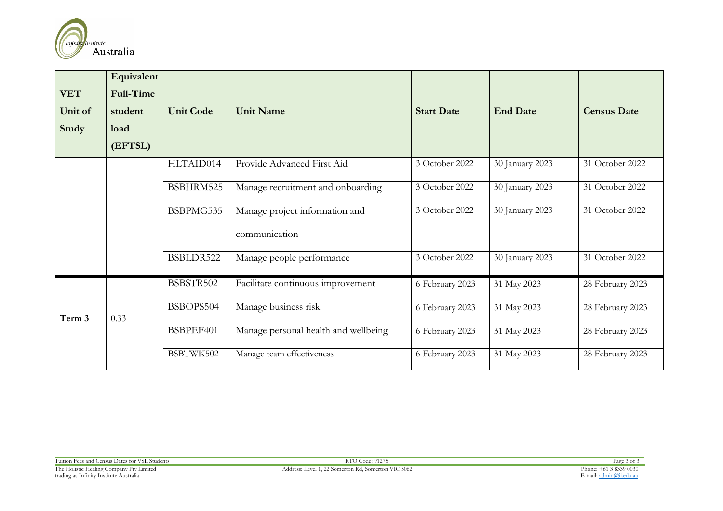

| <b>VET</b><br>Unit of<br>Study | Equivalent<br><b>Full-Time</b><br>student<br>load<br>(EFTSL) | <b>Unit Code</b> | <b>Unit Name</b>                                | <b>Start Date</b> | <b>End Date</b> | <b>Census Date</b> |
|--------------------------------|--------------------------------------------------------------|------------------|-------------------------------------------------|-------------------|-----------------|--------------------|
|                                |                                                              | HLTAID014        | Provide Advanced First Aid                      | 3 October 2022    | 30 January 2023 | 31 October 2022    |
|                                |                                                              | BSBHRM525        | Manage recruitment and onboarding               | 3 October 2022    | 30 January 2023 | 31 October 2022    |
|                                |                                                              | BSBPMG535        | Manage project information and<br>communication | 3 October 2022    | 30 January 2023 | 31 October 2022    |
|                                |                                                              | BSBLDR522        | Manage people performance                       | 3 October 2022    | 30 January 2023 | 31 October 2022    |
| Term 3                         |                                                              | BSBSTR502        | Facilitate continuous improvement               | 6 February 2023   | 31 May 2023     | 28 February 2023   |
|                                | 0.33                                                         | BSBOPS504        | Manage business risk                            | 6 February 2023   | 31 May 2023     | 28 February 2023   |
|                                |                                                              | BSBPEF401        | Manage personal health and wellbeing            | 6 February 2023   | 31 May 2023     | 28 February 2023   |
|                                |                                                              | BSBTWK502        | Manage team effectiveness                       | 6 February 2023   | 31 May 2023     | 28 February 2023   |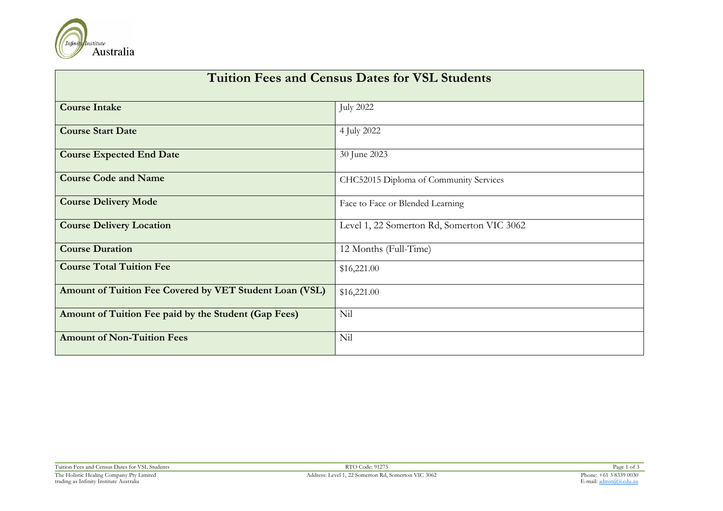

| <b>Tuition Fees and Census Dates for VSL Students</b>   |                                            |  |  |  |
|---------------------------------------------------------|--------------------------------------------|--|--|--|
| <b>Course Intake</b>                                    | <b>July 2022</b>                           |  |  |  |
| <b>Course Start Date</b>                                | 4 July 2022                                |  |  |  |
| <b>Course Expected End Date</b>                         | 30 June 2023                               |  |  |  |
| <b>Course Code and Name</b>                             | CHC52015 Diploma of Community Services     |  |  |  |
| <b>Course Delivery Mode</b>                             | Face to Face or Blended Learning           |  |  |  |
| <b>Course Delivery Location</b>                         | Level 1, 22 Somerton Rd, Somerton VIC 3062 |  |  |  |
| <b>Course Duration</b>                                  | 12 Months (Full-Time)                      |  |  |  |
| <b>Course Total Tuition Fee</b>                         | \$16,221.00                                |  |  |  |
| Amount of Tuition Fee Covered by VET Student Loan (VSL) | \$16,221.00                                |  |  |  |
| Amount of Tuition Fee paid by the Student (Gap Fees)    | Nil                                        |  |  |  |
| <b>Amount of Non-Tuition Fees</b>                       | Nil                                        |  |  |  |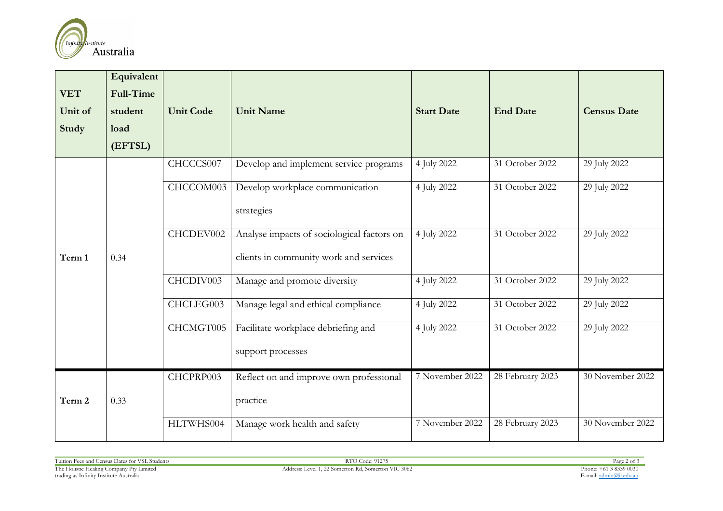

| <b>VET</b> | Equivalent<br><b>Full-Time</b> |                  |                                            |                   |                  |                    |
|------------|--------------------------------|------------------|--------------------------------------------|-------------------|------------------|--------------------|
| Unit of    | student                        | <b>Unit Code</b> | <b>Unit Name</b>                           | <b>Start Date</b> | <b>End Date</b>  | <b>Census Date</b> |
| Study      | load                           |                  |                                            |                   |                  |                    |
|            | (EFTSL)                        |                  |                                            |                   |                  |                    |
|            |                                | CHCCCS007        | Develop and implement service programs     | 4 July 2022       | 31 October 2022  | 29 July 2022       |
|            |                                | CHCCOM003        | Develop workplace communication            | 4 July 2022       | 31 October 2022  | 29 July 2022       |
|            |                                |                  | strategies                                 |                   |                  |                    |
|            |                                | CHCDEV002        | Analyse impacts of sociological factors on | 4 July 2022       | 31 October 2022  | 29 July 2022       |
| Term 1     | 0.34                           |                  | clients in community work and services     |                   |                  |                    |
|            |                                | CHCDIV003        | Manage and promote diversity               | 4 July 2022       | 31 October 2022  | 29 July 2022       |
|            |                                | CHCLEG003        | Manage legal and ethical compliance        | 4 July 2022       | 31 October 2022  | 29 July 2022       |
|            |                                | CHCMGT005        | Facilitate workplace debriefing and        | 4 July 2022       | 31 October 2022  | 29 July 2022       |
|            |                                |                  | support processes                          |                   |                  |                    |
|            |                                | CHCPRP003        | Reflect on and improve own professional    | 7 November 2022   | 28 February 2023 | 30 November 2022   |
| Term 2     | 0.33                           |                  | practice                                   |                   |                  |                    |
|            |                                | HLTWHS004        | Manage work health and safety              | 7 November 2022   | 28 February 2023 | 30 November 2022   |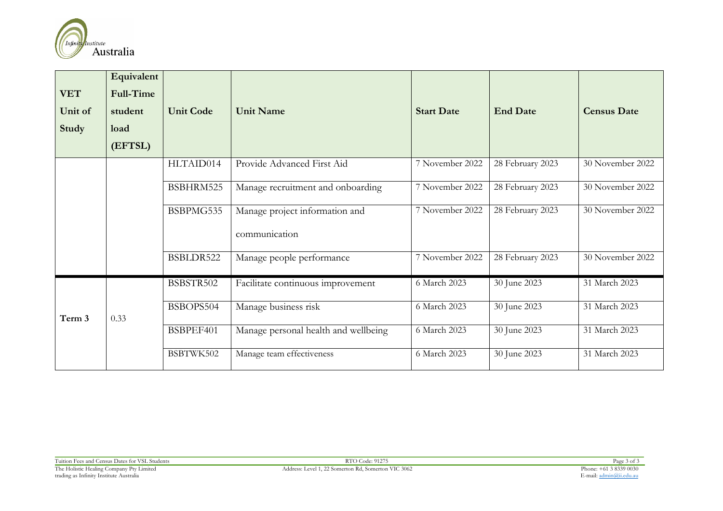

| <b>VET</b><br>Unit of<br>Study | Equivalent<br><b>Full-Time</b><br>student<br>load<br>(EFTSL) | <b>Unit Code</b> | <b>Unit Name</b>                                | <b>Start Date</b> | <b>End Date</b>  | <b>Census Date</b> |
|--------------------------------|--------------------------------------------------------------|------------------|-------------------------------------------------|-------------------|------------------|--------------------|
|                                |                                                              | HLTAID014        | Provide Advanced First Aid                      | 7 November 2022   | 28 February 2023 | 30 November 2022   |
|                                |                                                              | BSBHRM525        | Manage recruitment and onboarding               | 7 November 2022   | 28 February 2023 | 30 November 2022   |
|                                |                                                              | BSBPMG535        | Manage project information and<br>communication | 7 November 2022   | 28 February 2023 | 30 November 2022   |
|                                |                                                              | BSBLDR522        | Manage people performance                       | 7 November 2022   | 28 February 2023 | 30 November 2022   |
| Term 3                         |                                                              | BSBSTR502        | Facilitate continuous improvement               | 6 March 2023      | 30 June 2023     | 31 March 2023      |
|                                | 0.33                                                         | BSBOPS504        | Manage business risk                            | 6 March 2023      | 30 June 2023     | 31 March 2023      |
|                                |                                                              | BSBPEF401        | Manage personal health and wellbeing            | 6 March 2023      | 30 June 2023     | 31 March 2023      |
|                                |                                                              | BSBTWK502        | Manage team effectiveness                       | 6 March 2023      | 30 June 2023     | 31 March 2023      |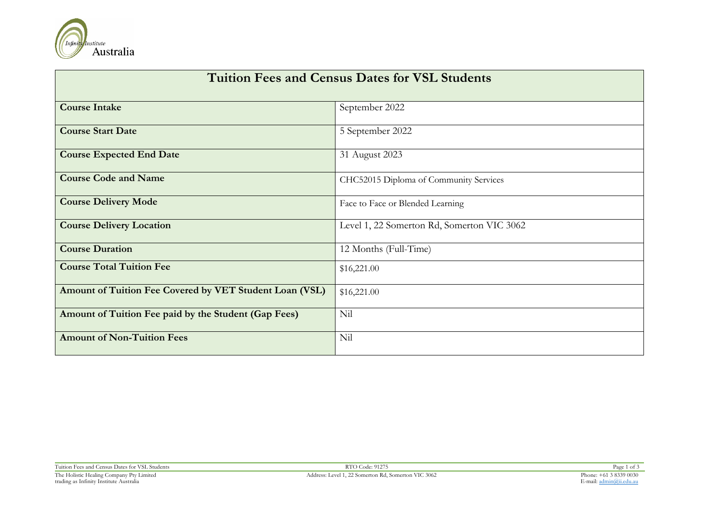

| <b>Tuition Fees and Census Dates for VSL Students</b>   |                                            |  |  |  |
|---------------------------------------------------------|--------------------------------------------|--|--|--|
| <b>Course Intake</b>                                    | September 2022                             |  |  |  |
| <b>Course Start Date</b>                                | 5 September 2022                           |  |  |  |
| <b>Course Expected End Date</b>                         | 31 August 2023                             |  |  |  |
| <b>Course Code and Name</b>                             | CHC52015 Diploma of Community Services     |  |  |  |
| <b>Course Delivery Mode</b>                             | Face to Face or Blended Learning           |  |  |  |
| <b>Course Delivery Location</b>                         | Level 1, 22 Somerton Rd, Somerton VIC 3062 |  |  |  |
| <b>Course Duration</b>                                  | 12 Months (Full-Time)                      |  |  |  |
| <b>Course Total Tuition Fee</b>                         | \$16,221.00                                |  |  |  |
| Amount of Tuition Fee Covered by VET Student Loan (VSL) | \$16,221.00                                |  |  |  |
| Amount of Tuition Fee paid by the Student (Gap Fees)    | Nil                                        |  |  |  |
| <b>Amount of Non-Tuition Fees</b>                       | Nil                                        |  |  |  |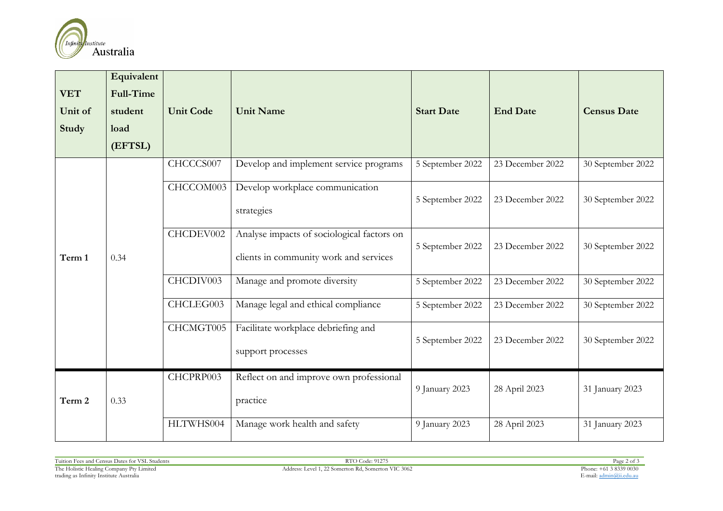

| <b>VET</b><br>Unit of<br>Study | Equivalent<br><b>Full-Time</b><br>student<br>load<br>(EFTSL) | <b>Unit Code</b> | <b>Unit Name</b>                                                                     | <b>Start Date</b> | <b>End Date</b>  | <b>Census Date</b> |
|--------------------------------|--------------------------------------------------------------|------------------|--------------------------------------------------------------------------------------|-------------------|------------------|--------------------|
|                                |                                                              | CHCCCS007        | Develop and implement service programs                                               | 5 September 2022  | 23 December 2022 | 30 September 2022  |
| Term 1                         | 0.34                                                         | CHCCOM003        | Develop workplace communication<br>strategies                                        | 5 September 2022  | 23 December 2022 | 30 September 2022  |
|                                |                                                              | CHCDEV002        | Analyse impacts of sociological factors on<br>clients in community work and services | 5 September 2022  | 23 December 2022 | 30 September 2022  |
|                                |                                                              | CHCDIV003        | Manage and promote diversity                                                         | 5 September 2022  | 23 December 2022 | 30 September 2022  |
|                                |                                                              | CHCLEG003        | Manage legal and ethical compliance                                                  | 5 September 2022  | 23 December 2022 | 30 September 2022  |
|                                |                                                              | CHCMGT005        | Facilitate workplace debriefing and<br>support processes                             | 5 September 2022  | 23 December 2022 | 30 September 2022  |
| Term 2                         | 0.33                                                         | CHCPRP003        | Reflect on and improve own professional<br>practice                                  | 9 January 2023    | 28 April 2023    | 31 January 2023    |
|                                |                                                              | HLTWHS004        | Manage work health and safety                                                        | 9 January 2023    | 28 April 2023    | 31 January 2023    |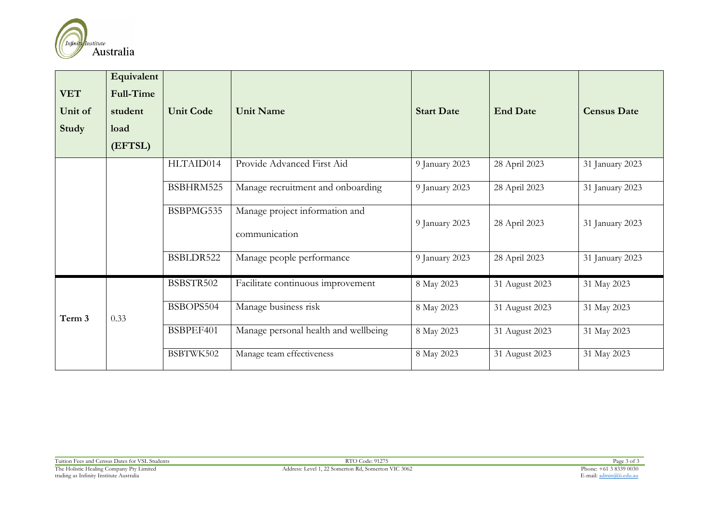

| <b>VET</b><br>Unit of<br>Study | Equivalent<br><b>Full-Time</b><br>student<br>load<br>(EFTSL) | <b>Unit Code</b> | <b>Unit Name</b>                                | <b>Start Date</b> | <b>End Date</b> | <b>Census Date</b> |
|--------------------------------|--------------------------------------------------------------|------------------|-------------------------------------------------|-------------------|-----------------|--------------------|
|                                |                                                              | HLTAID014        | Provide Advanced First Aid                      | 9 January 2023    | 28 April 2023   | 31 January 2023    |
|                                |                                                              | BSBHRM525        | Manage recruitment and onboarding               | 9 January 2023    | 28 April 2023   | 31 January 2023    |
|                                |                                                              | BSBPMG535        | Manage project information and<br>communication | 9 January 2023    | 28 April 2023   | 31 January 2023    |
|                                |                                                              | BSBLDR522        | Manage people performance                       | 9 January 2023    | 28 April 2023   | 31 January 2023    |
| Term 3                         |                                                              | BSBSTR502        | Facilitate continuous improvement               | 8 May 2023        | 31 August 2023  | 31 May 2023        |
|                                | 0.33                                                         | BSBOPS504        | Manage business risk                            | 8 May 2023        | 31 August 2023  | 31 May 2023        |
|                                |                                                              | BSBPEF401        | Manage personal health and wellbeing            | 8 May 2023        | 31 August 2023  | 31 May 2023        |
|                                |                                                              | BSBTWK502        | Manage team effectiveness                       | 8 May 2023        | 31 August 2023  | 31 May 2023        |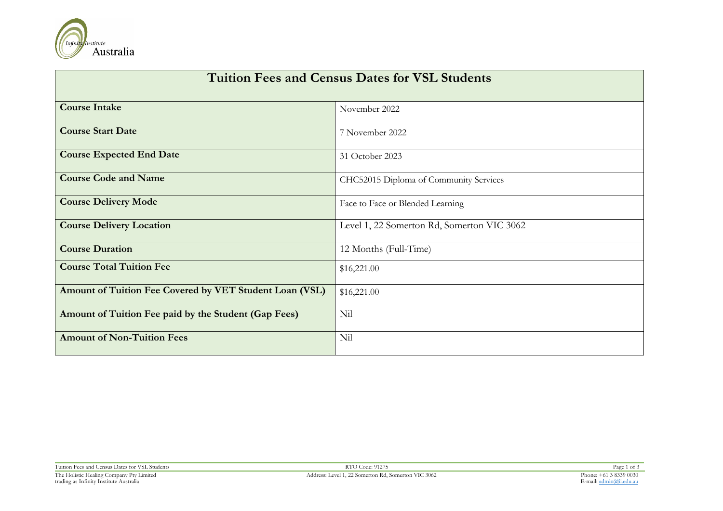

| <b>Tuition Fees and Census Dates for VSL Students</b>   |                                            |  |  |  |
|---------------------------------------------------------|--------------------------------------------|--|--|--|
| <b>Course Intake</b>                                    | November 2022                              |  |  |  |
| <b>Course Start Date</b>                                | 7 November 2022                            |  |  |  |
| <b>Course Expected End Date</b>                         | 31 October 2023                            |  |  |  |
| <b>Course Code and Name</b>                             | CHC52015 Diploma of Community Services     |  |  |  |
| <b>Course Delivery Mode</b>                             | Face to Face or Blended Learning           |  |  |  |
| <b>Course Delivery Location</b>                         | Level 1, 22 Somerton Rd, Somerton VIC 3062 |  |  |  |
| <b>Course Duration</b>                                  | 12 Months (Full-Time)                      |  |  |  |
| <b>Course Total Tuition Fee</b>                         | \$16,221.00                                |  |  |  |
| Amount of Tuition Fee Covered by VET Student Loan (VSL) | \$16,221.00                                |  |  |  |
| Amount of Tuition Fee paid by the Student (Gap Fees)    | Nil                                        |  |  |  |
| <b>Amount of Non-Tuition Fees</b>                       | Nil                                        |  |  |  |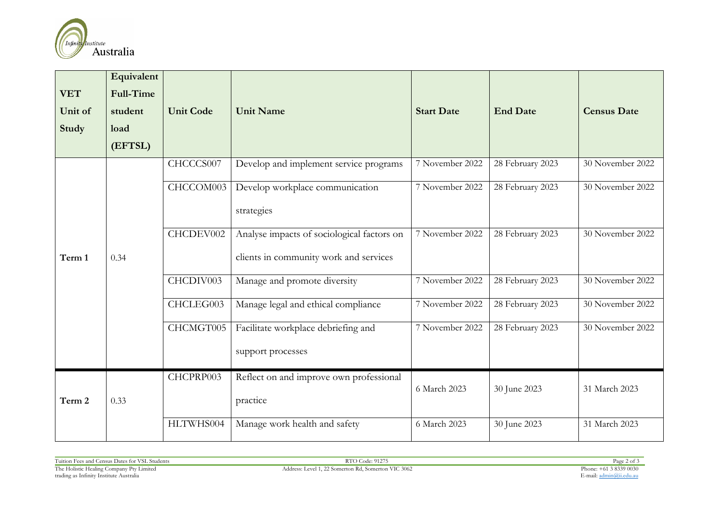

| <b>VET</b> | Equivalent<br>Full-Time |                  |                                            |                   |                  |                    |
|------------|-------------------------|------------------|--------------------------------------------|-------------------|------------------|--------------------|
| Unit of    | student                 | <b>Unit Code</b> | <b>Unit Name</b>                           | <b>Start Date</b> | <b>End Date</b>  | <b>Census Date</b> |
| Study      | load                    |                  |                                            |                   |                  |                    |
|            | (EFTSL)                 |                  |                                            |                   |                  |                    |
|            |                         | CHCCCS007        | Develop and implement service programs     | 7 November 2022   | 28 February 2023 | 30 November 2022   |
|            |                         | CHCCOM003        | Develop workplace communication            | 7 November 2022   | 28 February 2023 | 30 November 2022   |
| Term 1     | 0.34                    |                  | strategies                                 |                   |                  |                    |
|            |                         | CHCDEV002        | Analyse impacts of sociological factors on | 7 November 2022   | 28 February 2023 | 30 November 2022   |
|            |                         |                  | clients in community work and services     |                   |                  |                    |
|            |                         | CHCDIV003        | Manage and promote diversity               | 7 November 2022   | 28 February 2023 | 30 November 2022   |
|            |                         | CHCLEG003        | Manage legal and ethical compliance        | 7 November 2022   | 28 February 2023 | 30 November 2022   |
|            |                         | CHCMGT005        | Facilitate workplace debriefing and        | 7 November 2022   | 28 February 2023 | 30 November 2022   |
|            |                         |                  | support processes                          |                   |                  |                    |
|            |                         | CHCPRP003        | Reflect on and improve own professional    |                   |                  |                    |
| Term 2     | 0.33                    |                  | practice                                   | 6 March 2023      | 30 June 2023     | 31 March 2023      |
|            |                         | HLTWHS004        | Manage work health and safety              | 6 March 2023      | 30 June 2023     | 31 March 2023      |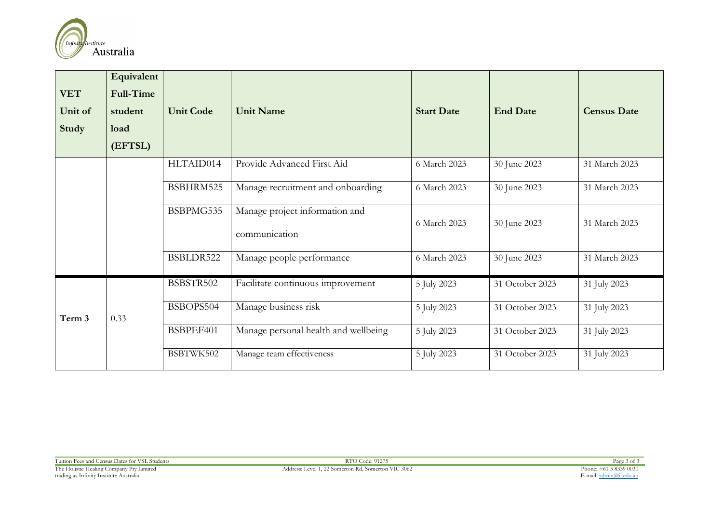

| <b>VET</b><br>Unit of<br>Study | Equivalent<br><b>Full-Time</b><br>student<br>load<br>(EFTSL) | <b>Unit Code</b> | <b>Unit Name</b>                                | <b>Start Date</b> | <b>End Date</b> | <b>Census Date</b> |
|--------------------------------|--------------------------------------------------------------|------------------|-------------------------------------------------|-------------------|-----------------|--------------------|
|                                |                                                              | HLTAID014        | Provide Advanced First Aid                      | 6 March 2023      | 30 June 2023    | 31 March 2023      |
|                                |                                                              | BSBHRM525        | Manage recruitment and onboarding               | 6 March 2023      | 30 June 2023    | 31 March 2023      |
|                                |                                                              | BSBPMG535        | Manage project information and<br>communication | 6 March 2023      | 30 June 2023    | 31 March 2023      |
|                                |                                                              | BSBLDR522        | Manage people performance                       | 6 March 2023      | 30 June 2023    | 31 March 2023      |
| Term 3                         |                                                              | BSBSTR502        | Facilitate continuous improvement               | 5 July 2023       | 31 October 2023 | 31 July 2023       |
|                                | 0.33                                                         | BSBOPS504        | Manage business risk                            | 5 July 2023       | 31 October 2023 | 31 July 2023       |
|                                |                                                              | BSBPEF401        | Manage personal health and wellbeing            | 5 July 2023       | 31 October 2023 | 31 July 2023       |
|                                |                                                              | BSBTWK502        | Manage team effectiveness                       | 5 July 2023       | 31 October 2023 | 31 July 2023       |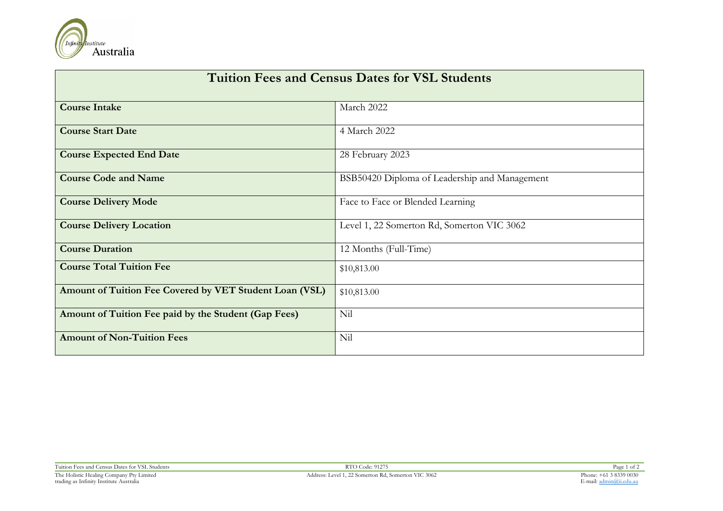

| <b>Tuition Fees and Census Dates for VSL Students</b>   |                                               |  |  |  |
|---------------------------------------------------------|-----------------------------------------------|--|--|--|
| <b>Course Intake</b>                                    | March 2022                                    |  |  |  |
| <b>Course Start Date</b>                                | 4 March 2022                                  |  |  |  |
| <b>Course Expected End Date</b>                         | 28 February 2023                              |  |  |  |
| <b>Course Code and Name</b>                             | BSB50420 Diploma of Leadership and Management |  |  |  |
| <b>Course Delivery Mode</b>                             | Face to Face or Blended Learning              |  |  |  |
| <b>Course Delivery Location</b>                         | Level 1, 22 Somerton Rd, Somerton VIC 3062    |  |  |  |
| <b>Course Duration</b>                                  | 12 Months (Full-Time)                         |  |  |  |
| <b>Course Total Tuition Fee</b>                         | \$10,813.00                                   |  |  |  |
| Amount of Tuition Fee Covered by VET Student Loan (VSL) | \$10,813.00                                   |  |  |  |
| Amount of Tuition Fee paid by the Student (Gap Fees)    | Nil                                           |  |  |  |
| <b>Amount of Non-Tuition Fees</b>                       | Nil                                           |  |  |  |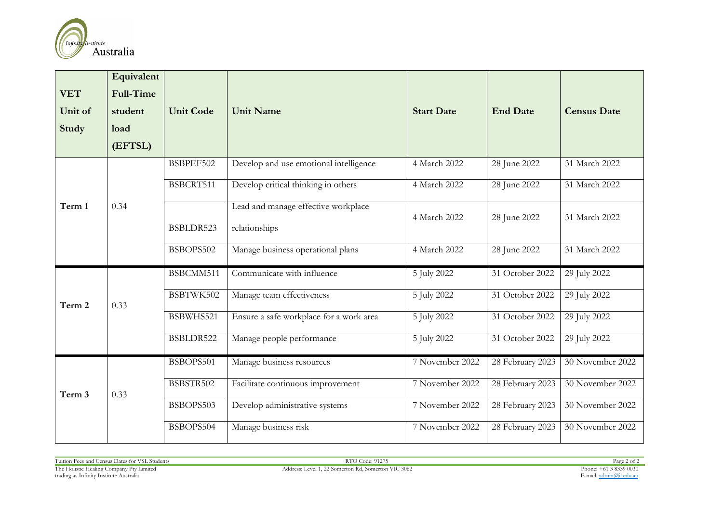

|              | Equivalent       |                  |                                                      |                   |                   |                    |
|--------------|------------------|------------------|------------------------------------------------------|-------------------|-------------------|--------------------|
| <b>VET</b>   | <b>Full-Time</b> |                  |                                                      |                   |                   |                    |
| Unit of      | student          | <b>Unit Code</b> | <b>Unit Name</b>                                     | <b>Start Date</b> | <b>End Date</b>   | <b>Census Date</b> |
| <b>Study</b> | load             |                  |                                                      |                   |                   |                    |
|              | (EFTSL)          |                  |                                                      |                   |                   |                    |
|              |                  | BSBPEF502        | Develop and use emotional intelligence               | 4 March 2022      | 28 June 2022      | 31 March 2022      |
|              |                  | BSBCRT511        | Develop critical thinking in others                  | 4 March 2022      | 28 June 2022      | 31 March 2022      |
| Term 1       | 0.34             | BSBLDR523        | Lead and manage effective workplace<br>relationships | 4 March 2022      | 28 June 2022      | 31 March 2022      |
|              |                  | BSBOPS502        | Manage business operational plans                    | 4 March 2022      | 28 June 2022      | 31 March 2022      |
|              | 0.33             | BSBCMM511        | Communicate with influence                           | 5 July 2022       | $31$ October 2022 | 29 July 2022       |
| Term 2       |                  | BSBTWK502        | Manage team effectiveness                            | 5 July 2022       | 31 October 2022   | 29 July 2022       |
|              |                  | BSBWHS521        | Ensure a safe workplace for a work area              | 5 July 2022       | 31 October 2022   | 29 July 2022       |
|              |                  | BSBLDR522        | Manage people performance                            | 5 July 2022       | 31 October 2022   | 29 July 2022       |
|              |                  | BSBOPS501        | Manage business resources                            | 7 November 2022   | 28 February 2023  | 30 November 2022   |
| Term 3       | 0.33             | BSBSTR502        | Facilitate continuous improvement                    | 7 November 2022   | 28 February 2023  | 30 November 2022   |
|              |                  | BSBOPS503        | Develop administrative systems                       | 7 November 2022   | 28 February 2023  | 30 November 2022   |
|              |                  | BSBOPS504        | Manage business risk                                 | 7 November 2022   | 28 February 2023  | 30 November 2022   |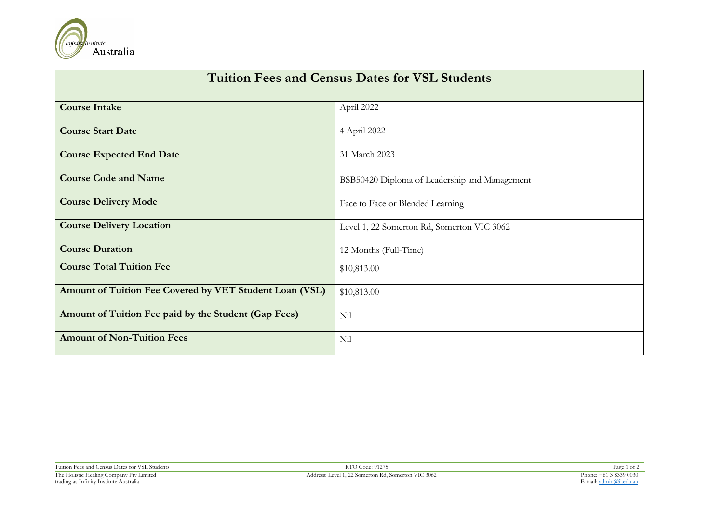

| <b>Tuition Fees and Census Dates for VSL Students</b>   |                                               |  |  |  |
|---------------------------------------------------------|-----------------------------------------------|--|--|--|
| <b>Course Intake</b>                                    | April 2022                                    |  |  |  |
| <b>Course Start Date</b>                                | 4 April 2022                                  |  |  |  |
| <b>Course Expected End Date</b>                         | 31 March 2023                                 |  |  |  |
| <b>Course Code and Name</b>                             | BSB50420 Diploma of Leadership and Management |  |  |  |
| <b>Course Delivery Mode</b>                             | Face to Face or Blended Learning              |  |  |  |
| <b>Course Delivery Location</b>                         | Level 1, 22 Somerton Rd, Somerton VIC 3062    |  |  |  |
| <b>Course Duration</b>                                  | 12 Months (Full-Time)                         |  |  |  |
| <b>Course Total Tuition Fee</b>                         | \$10,813.00                                   |  |  |  |
| Amount of Tuition Fee Covered by VET Student Loan (VSL) | \$10,813.00                                   |  |  |  |
| Amount of Tuition Fee paid by the Student (Gap Fees)    | Nil                                           |  |  |  |
| <b>Amount of Non-Tuition Fees</b>                       | Nil                                           |  |  |  |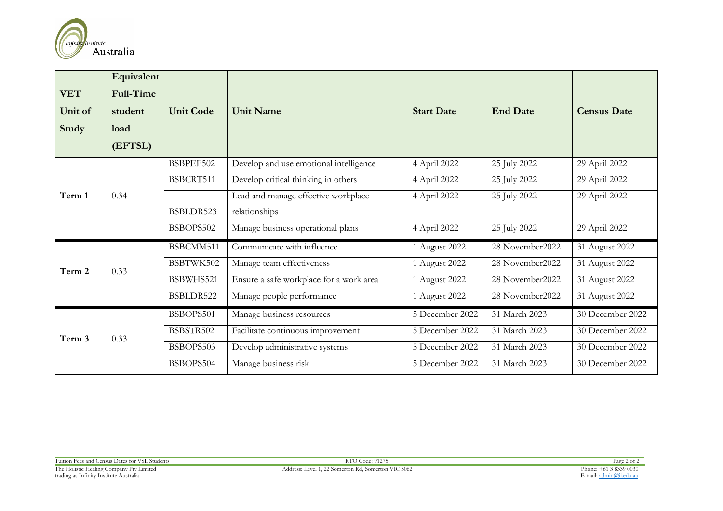

| <b>VET</b><br>Unit of<br>Study | Equivalent<br>Full-Time<br>student<br>load<br>(EFTSL) | <b>Unit Code</b> | <b>Unit Name</b>                        | <b>Start Date</b> | <b>End Date</b>  | <b>Census Date</b> |
|--------------------------------|-------------------------------------------------------|------------------|-----------------------------------------|-------------------|------------------|--------------------|
|                                |                                                       | BSBPEF502        | Develop and use emotional intelligence  | 4 April 2022      | 25 July 2022     | 29 April 2022      |
|                                |                                                       | BSBCRT511        | Develop critical thinking in others     | 4 April 2022      | 25 July 2022     | 29 April 2022      |
| Term 1                         | 0.34                                                  |                  | Lead and manage effective workplace     | 4 April 2022      | 25 July 2022     | 29 April 2022      |
|                                |                                                       | BSBLDR523        | relationships                           |                   |                  |                    |
|                                |                                                       | BSBOPS502        | Manage business operational plans       | 4 April 2022      | 25 July 2022     | 29 April 2022      |
|                                | 0.33                                                  | BSBCMM511        | Communicate with influence              | 1 August 2022     | 28 November 2022 | 31 August 2022     |
| Term 2                         |                                                       | BSBTWK502        | Manage team effectiveness               | 1 August 2022     | 28 November2022  | 31 August 2022     |
|                                |                                                       | BSBWHS521        | Ensure a safe workplace for a work area | 1 August 2022     | 28 November2022  | 31 August 2022     |
|                                |                                                       | BSBLDR522        | Manage people performance               | 1 August 2022     | 28 November2022  | 31 August 2022     |
|                                |                                                       | BSBOPS501        | Manage business resources               | 5 December 2022   | 31 March 2023    | 30 December 2022   |
| Term 3                         | 0.33                                                  | BSBSTR502        | Facilitate continuous improvement       | 5 December 2022   | 31 March 2023    | 30 December 2022   |
|                                |                                                       | BSBOPS503        | Develop administrative systems          | 5 December 2022   | 31 March 2023    | 30 December 2022   |
|                                |                                                       | BSBOPS504        | Manage business risk                    | 5 December 2022   | 31 March 2023    | 30 December 2022   |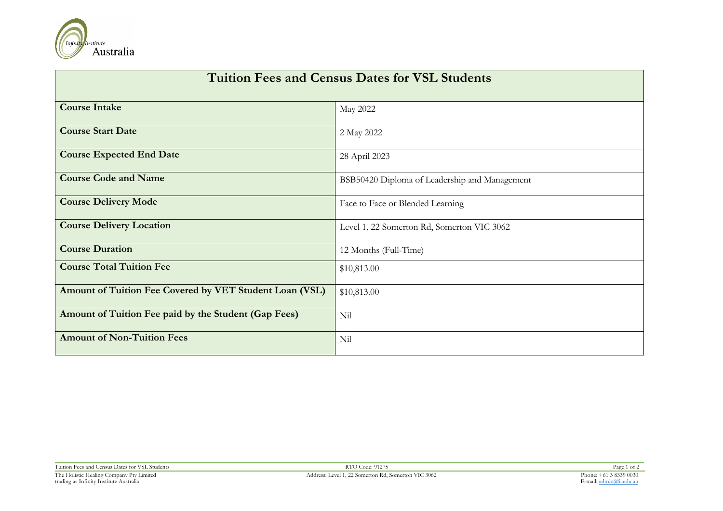

| <b>Tuition Fees and Census Dates for VSL Students</b>   |                                               |  |  |  |
|---------------------------------------------------------|-----------------------------------------------|--|--|--|
| <b>Course Intake</b>                                    | May 2022                                      |  |  |  |
| <b>Course Start Date</b>                                | 2 May 2022                                    |  |  |  |
| <b>Course Expected End Date</b>                         | 28 April 2023                                 |  |  |  |
| <b>Course Code and Name</b>                             | BSB50420 Diploma of Leadership and Management |  |  |  |
| <b>Course Delivery Mode</b>                             | Face to Face or Blended Learning              |  |  |  |
| <b>Course Delivery Location</b>                         | Level 1, 22 Somerton Rd, Somerton VIC 3062    |  |  |  |
| <b>Course Duration</b>                                  | 12 Months (Full-Time)                         |  |  |  |
| <b>Course Total Tuition Fee</b>                         | \$10,813.00                                   |  |  |  |
| Amount of Tuition Fee Covered by VET Student Loan (VSL) | \$10,813.00                                   |  |  |  |
| Amount of Tuition Fee paid by the Student (Gap Fees)    | Nil                                           |  |  |  |
| <b>Amount of Non-Tuition Fees</b>                       | Nil                                           |  |  |  |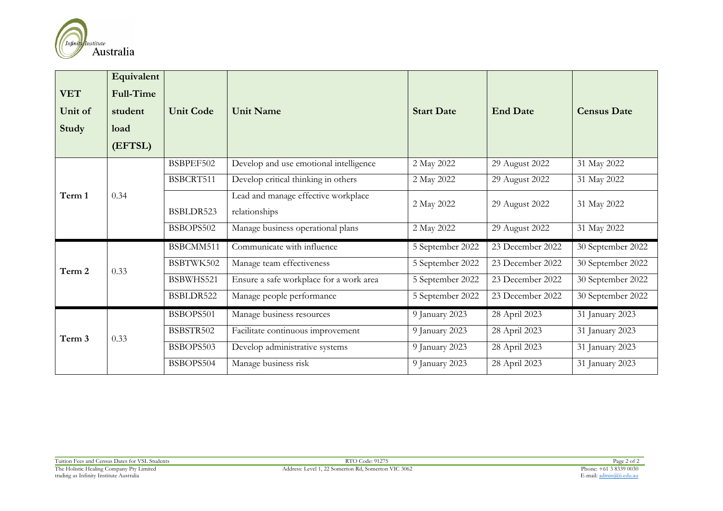

| <b>VET</b><br>Unit of<br>Study | Equivalent<br>Full-Time<br>student<br>load<br>(EFTSL) | <b>Unit Code</b> | <b>Unit Name</b>                                     | <b>Start Date</b> | <b>End Date</b>  | <b>Census Date</b> |
|--------------------------------|-------------------------------------------------------|------------------|------------------------------------------------------|-------------------|------------------|--------------------|
|                                |                                                       | BSBPEF502        | Develop and use emotional intelligence               | 2 May 2022        | 29 August 2022   | 31 May 2022        |
|                                |                                                       | BSBCRT511        | Develop critical thinking in others                  | 2 May 2022        | 29 August 2022   | 31 May 2022        |
| Term 1                         | 0.34                                                  | BSBLDR523        | Lead and manage effective workplace<br>relationships | 2 May 2022        | 29 August 2022   | 31 May 2022        |
|                                |                                                       | BSBOPS502        | Manage business operational plans                    | 2 May 2022        | 29 August 2022   | 31 May 2022        |
|                                | 0.33                                                  | BSBCMM511        | Communicate with influence                           | 5 September 2022  | 23 December 2022 | 30 September 2022  |
| Term 2                         |                                                       | BSBTWK502        | Manage team effectiveness                            | 5 September 2022  | 23 December 2022 | 30 September 2022  |
|                                |                                                       | BSBWHS521        | Ensure a safe workplace for a work area              | 5 September 2022  | 23 December 2022 | 30 September 2022  |
|                                |                                                       | BSBLDR522        | Manage people performance                            | 5 September 2022  | 23 December 2022 | 30 September 2022  |
| Term 3                         |                                                       | BSBOPS501        | Manage business resources                            | 9 January 2023    | 28 April 2023    | 31 January 2023    |
|                                | 0.33                                                  | BSBSTR502        | Facilitate continuous improvement                    | 9 January 2023    | 28 April 2023    | 31 January 2023    |
|                                |                                                       | BSBOPS503        | Develop administrative systems                       | 9 January 2023    | 28 April 2023    | 31 January 2023    |
|                                |                                                       | BSBOPS504        | Manage business risk                                 | 9 January 2023    | 28 April 2023    | 31 January 2023    |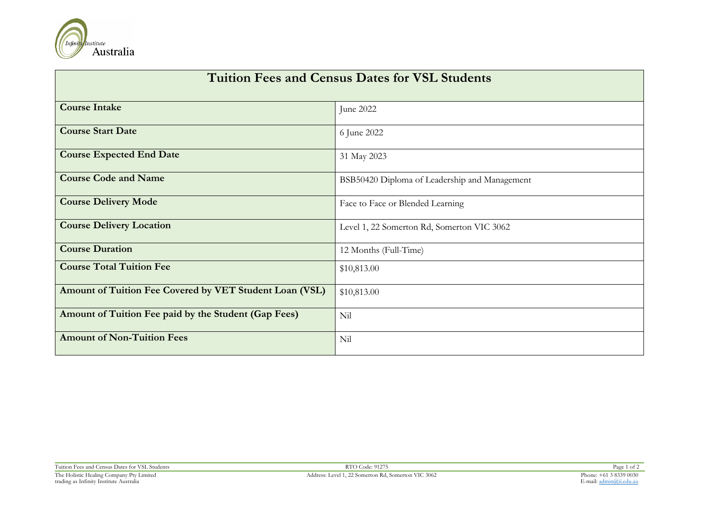

| <b>Tuition Fees and Census Dates for VSL Students</b>   |                                               |  |  |  |
|---------------------------------------------------------|-----------------------------------------------|--|--|--|
| <b>Course Intake</b>                                    | June 2022                                     |  |  |  |
| <b>Course Start Date</b>                                | 6 June 2022                                   |  |  |  |
| <b>Course Expected End Date</b>                         | 31 May 2023                                   |  |  |  |
| <b>Course Code and Name</b>                             | BSB50420 Diploma of Leadership and Management |  |  |  |
| <b>Course Delivery Mode</b>                             | Face to Face or Blended Learning              |  |  |  |
| <b>Course Delivery Location</b>                         | Level 1, 22 Somerton Rd, Somerton VIC 3062    |  |  |  |
| <b>Course Duration</b>                                  | 12 Months (Full-Time)                         |  |  |  |
| <b>Course Total Tuition Fee</b>                         | \$10,813.00                                   |  |  |  |
| Amount of Tuition Fee Covered by VET Student Loan (VSL) | \$10,813.00                                   |  |  |  |
| Amount of Tuition Fee paid by the Student (Gap Fees)    | Nil                                           |  |  |  |
| <b>Amount of Non-Tuition Fees</b>                       | Nil                                           |  |  |  |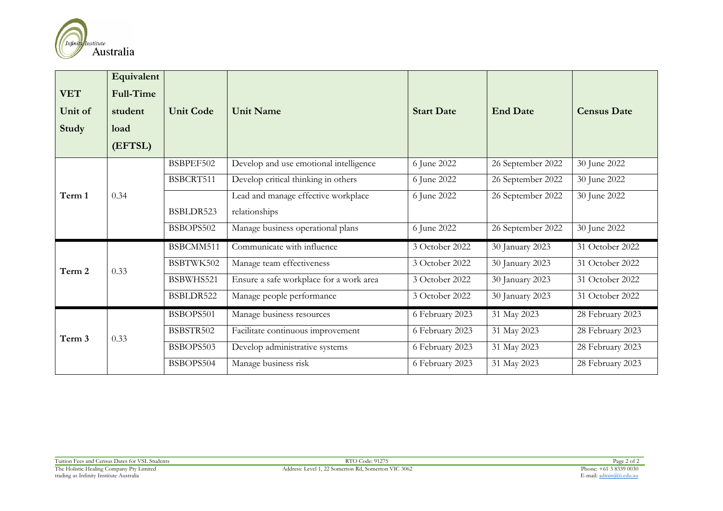

| <b>VET</b><br>Unit of<br>Study | Equivalent<br>Full-Time<br>student<br>load<br>(EFTSL) | <b>Unit Code</b> | <b>Unit Name</b>                        | <b>Start Date</b> | <b>End Date</b>   | <b>Census Date</b> |
|--------------------------------|-------------------------------------------------------|------------------|-----------------------------------------|-------------------|-------------------|--------------------|
|                                |                                                       | BSBPEF502        | Develop and use emotional intelligence  | 6 June 2022       | 26 September 2022 | 30 June 2022       |
|                                |                                                       | BSBCRT511        | Develop critical thinking in others     | 6 June 2022       | 26 September 2022 | 30 June 2022       |
| Term 1                         | 0.34                                                  |                  | Lead and manage effective workplace     | 6 June 2022       | 26 September 2022 | 30 June 2022       |
|                                |                                                       | BSBLDR523        | relationships                           |                   |                   |                    |
|                                |                                                       | BSBOPS502        | Manage business operational plans       | 6 June 2022       | 26 September 2022 | 30 June 2022       |
|                                | 0.33                                                  | BSBCMM511        | Communicate with influence              | 3 October 2022    | 30 January 2023   | 31 October 2022    |
| Term 2                         |                                                       | BSBTWK502        | Manage team effectiveness               | 3 October 2022    | 30 January 2023   | 31 October 2022    |
|                                |                                                       | BSBWHS521        | Ensure a safe workplace for a work area | 3 October 2022    | 30 January 2023   | 31 October 2022    |
|                                |                                                       | BSBLDR522        | Manage people performance               | 3 October 2022    | 30 January 2023   | 31 October 2022    |
| Term 3                         |                                                       | BSBOPS501        | Manage business resources               | 6 February 2023   | 31 May 2023       | 28 February 2023   |
|                                | 0.33                                                  | BSBSTR502        | Facilitate continuous improvement       | 6 February 2023   | 31 May 2023       | 28 February 2023   |
|                                |                                                       | BSBOPS503        | Develop administrative systems          | 6 February 2023   | 31 May 2023       | 28 February 2023   |
|                                |                                                       | BSBOPS504        | Manage business risk                    | 6 February 2023   | 31 May 2023       | 28 February 2023   |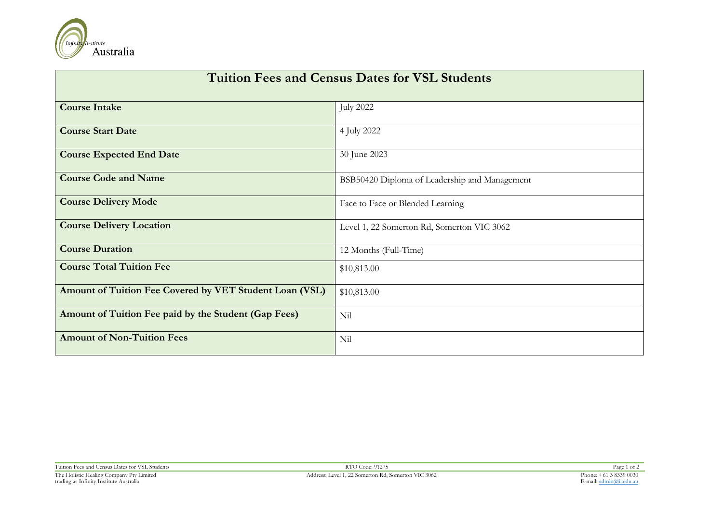

| <b>Tuition Fees and Census Dates for VSL Students</b>   |                                               |  |  |  |
|---------------------------------------------------------|-----------------------------------------------|--|--|--|
| <b>Course Intake</b>                                    | <b>July 2022</b>                              |  |  |  |
| <b>Course Start Date</b>                                | 4 July 2022                                   |  |  |  |
| <b>Course Expected End Date</b>                         | 30 June 2023                                  |  |  |  |
| <b>Course Code and Name</b>                             | BSB50420 Diploma of Leadership and Management |  |  |  |
| <b>Course Delivery Mode</b>                             | Face to Face or Blended Learning              |  |  |  |
| <b>Course Delivery Location</b>                         | Level 1, 22 Somerton Rd, Somerton VIC 3062    |  |  |  |
| <b>Course Duration</b>                                  | 12 Months (Full-Time)                         |  |  |  |
| <b>Course Total Tuition Fee</b>                         | \$10,813.00                                   |  |  |  |
| Amount of Tuition Fee Covered by VET Student Loan (VSL) | \$10,813.00                                   |  |  |  |
| Amount of Tuition Fee paid by the Student (Gap Fees)    | Nil                                           |  |  |  |
| <b>Amount of Non-Tuition Fees</b>                       | Nil                                           |  |  |  |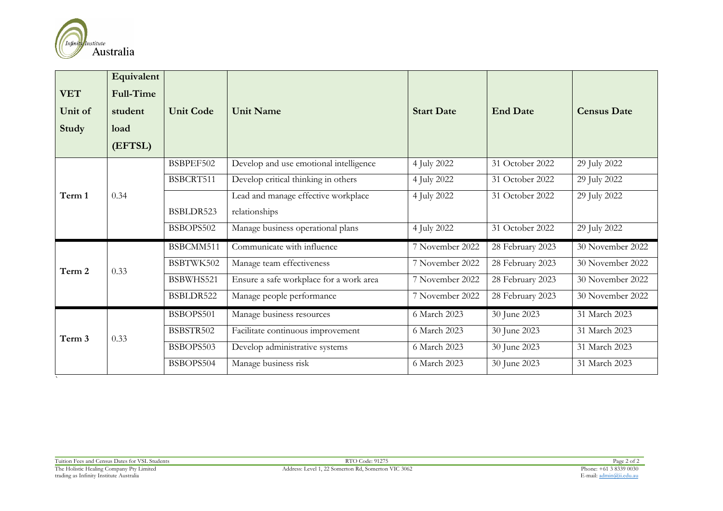

| <b>VET</b><br>Unit of<br>Study | Equivalent<br>Full-Time<br>student<br>load<br>(EFTSL) | <b>Unit Code</b> | <b>Unit Name</b>                        | <b>Start Date</b> | <b>End Date</b>  | <b>Census Date</b> |
|--------------------------------|-------------------------------------------------------|------------------|-----------------------------------------|-------------------|------------------|--------------------|
|                                |                                                       | BSBPEF502        | Develop and use emotional intelligence  | 4 July 2022       | 31 October 2022  | 29 July 2022       |
|                                |                                                       | BSBCRT511        | Develop critical thinking in others     | 4 July 2022       | 31 October 2022  | 29 July 2022       |
| Term 1                         | 0.34                                                  |                  | Lead and manage effective workplace     | 4 July 2022       | 31 October 2022  | 29 July 2022       |
|                                |                                                       | BSBLDR523        | relationships                           |                   |                  |                    |
|                                |                                                       | BSBOPS502        | Manage business operational plans       | 4 July 2022       | 31 October 2022  | 29 July 2022       |
|                                |                                                       | BSBCMM511        | Communicate with influence              | 7 November 2022   | 28 February 2023 | 30 November 2022   |
| Term 2                         | 0.33                                                  | BSBTWK502        | Manage team effectiveness               | 7 November 2022   | 28 February 2023 | 30 November 2022   |
|                                |                                                       | BSBWHS521        | Ensure a safe workplace for a work area | 7 November 2022   | 28 February 2023 | 30 November 2022   |
|                                |                                                       | BSBLDR522        | Manage people performance               | 7 November 2022   | 28 February 2023 | 30 November 2022   |
|                                |                                                       | BSBOPS501        | Manage business resources               | 6 March 2023      | 30 June 2023     | 31 March 2023      |
| Term 3                         | 0.33                                                  | BSBSTR502        | Facilitate continuous improvement       | 6 March 2023      | 30 June 2023     | 31 March 2023      |
|                                |                                                       | BSBOPS503        | Develop administrative systems          | 6 March 2023      | 30 June 2023     | 31 March 2023      |
|                                |                                                       | BSBOPS504        | Manage business risk                    | 6 March 2023      | 30 June 2023     | 31 March 2023      |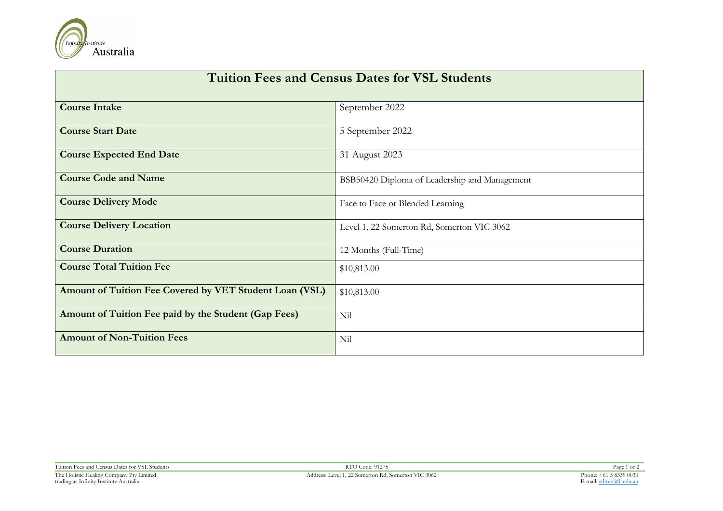

| <b>Tuition Fees and Census Dates for VSL Students</b>   |                                               |  |  |  |
|---------------------------------------------------------|-----------------------------------------------|--|--|--|
| <b>Course Intake</b>                                    | September 2022                                |  |  |  |
| <b>Course Start Date</b>                                | 5 September 2022                              |  |  |  |
| <b>Course Expected End Date</b>                         | 31 August 2023                                |  |  |  |
| <b>Course Code and Name</b>                             | BSB50420 Diploma of Leadership and Management |  |  |  |
| <b>Course Delivery Mode</b>                             | Face to Face or Blended Learning              |  |  |  |
| <b>Course Delivery Location</b>                         | Level 1, 22 Somerton Rd, Somerton VIC 3062    |  |  |  |
| <b>Course Duration</b>                                  | 12 Months (Full-Time)                         |  |  |  |
| <b>Course Total Tuition Fee</b>                         | \$10,813.00                                   |  |  |  |
| Amount of Tuition Fee Covered by VET Student Loan (VSL) | \$10,813.00                                   |  |  |  |
| Amount of Tuition Fee paid by the Student (Gap Fees)    | Nil                                           |  |  |  |
| <b>Amount of Non-Tuition Fees</b>                       | Nil                                           |  |  |  |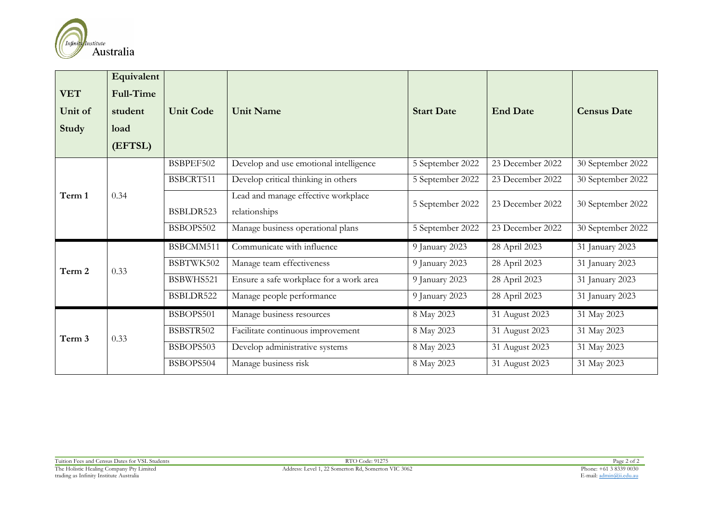

| <b>VET</b><br>Unit of<br>Study | Equivalent<br>Full-Time<br>student<br>load<br>(EFTSL) | <b>Unit Code</b> | <b>Unit Name</b>                                     | <b>Start Date</b> | <b>End Date</b>  | <b>Census Date</b> |
|--------------------------------|-------------------------------------------------------|------------------|------------------------------------------------------|-------------------|------------------|--------------------|
|                                |                                                       | BSBPEF502        | Develop and use emotional intelligence               | 5 September 2022  | 23 December 2022 | 30 September 2022  |
|                                |                                                       | BSBCRT511        | Develop critical thinking in others                  | 5 September 2022  | 23 December 2022 | 30 September 2022  |
| Term 1                         | 0.34                                                  | BSBLDR523        | Lead and manage effective workplace<br>relationships | 5 September 2022  | 23 December 2022 | 30 September 2022  |
|                                |                                                       | BSBOPS502        | Manage business operational plans                    | 5 September 2022  | 23 December 2022 | 30 September 2022  |
|                                | 0.33                                                  | BSBCMM511        | Communicate with influence                           | 9 January 2023    | 28 April 2023    | 31 January 2023    |
| Term 2                         |                                                       | BSBTWK502        | Manage team effectiveness                            | 9 January 2023    | 28 April 2023    | 31 January 2023    |
|                                |                                                       | BSBWHS521        | Ensure a safe workplace for a work area              | 9 January 2023    | 28 April 2023    | 31 January 2023    |
|                                |                                                       | BSBLDR522        | Manage people performance                            | 9 January 2023    | 28 April 2023    | 31 January 2023    |
| Term 3                         |                                                       | BSBOPS501        | Manage business resources                            | 8 May 2023        | 31 August 2023   | 31 May 2023        |
|                                | 0.33                                                  | BSBSTR502        | Facilitate continuous improvement                    | 8 May 2023        | 31 August 2023   | 31 May 2023        |
|                                |                                                       | BSBOPS503        | Develop administrative systems                       | 8 May 2023        | 31 August 2023   | 31 May 2023        |
|                                |                                                       | BSBOPS504        | Manage business risk                                 | 8 May 2023        | 31 August 2023   | 31 May 2023        |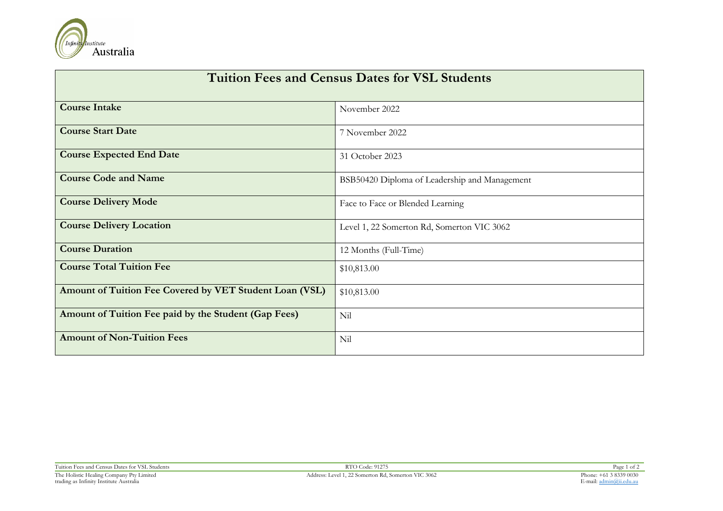

| <b>Tuition Fees and Census Dates for VSL Students</b>   |                                               |  |  |  |
|---------------------------------------------------------|-----------------------------------------------|--|--|--|
| <b>Course Intake</b>                                    | November 2022                                 |  |  |  |
| <b>Course Start Date</b>                                | 7 November 2022                               |  |  |  |
| <b>Course Expected End Date</b>                         | 31 October 2023                               |  |  |  |
| <b>Course Code and Name</b>                             | BSB50420 Diploma of Leadership and Management |  |  |  |
| <b>Course Delivery Mode</b>                             | Face to Face or Blended Learning              |  |  |  |
| <b>Course Delivery Location</b>                         | Level 1, 22 Somerton Rd, Somerton VIC 3062    |  |  |  |
| <b>Course Duration</b>                                  | 12 Months (Full-Time)                         |  |  |  |
| <b>Course Total Tuition Fee</b>                         | \$10,813.00                                   |  |  |  |
| Amount of Tuition Fee Covered by VET Student Loan (VSL) | \$10,813.00                                   |  |  |  |
| Amount of Tuition Fee paid by the Student (Gap Fees)    | Nil                                           |  |  |  |
| <b>Amount of Non-Tuition Fees</b>                       | Nil                                           |  |  |  |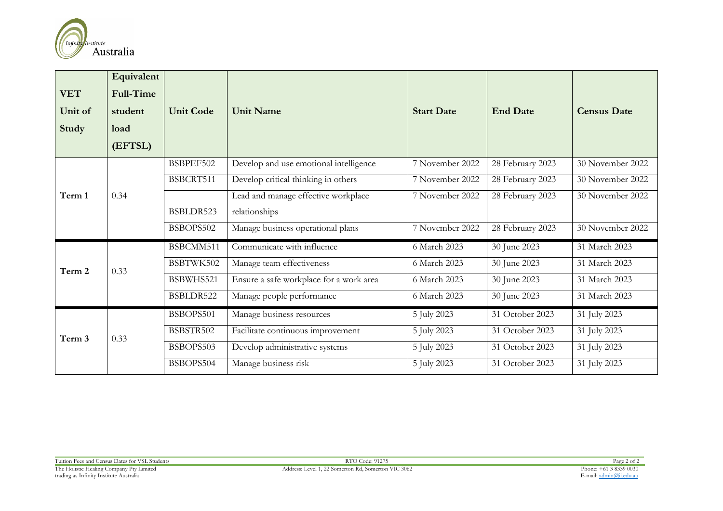

| <b>VET</b><br>Unit of<br>Study | Equivalent<br>Full-Time<br>student<br>load<br>(EFTSL) | <b>Unit Code</b> | <b>Unit Name</b>                        | <b>Start Date</b> | <b>End Date</b>  | <b>Census Date</b> |
|--------------------------------|-------------------------------------------------------|------------------|-----------------------------------------|-------------------|------------------|--------------------|
|                                |                                                       | BSBPEF502        | Develop and use emotional intelligence  | 7 November 2022   | 28 February 2023 | 30 November 2022   |
|                                |                                                       | BSBCRT511        | Develop critical thinking in others     | 7 November 2022   | 28 February 2023 | 30 November 2022   |
| Term 1                         | 0.34                                                  |                  | Lead and manage effective workplace     | 7 November 2022   | 28 February 2023 | 30 November 2022   |
|                                |                                                       | BSBLDR523        | relationships                           |                   |                  |                    |
|                                |                                                       | BSBOPS502        | Manage business operational plans       | 7 November 2022   | 28 February 2023 | 30 November 2022   |
|                                | 0.33                                                  | BSBCMM511        | Communicate with influence              | 6 March 2023      | 30 June 2023     | 31 March 2023      |
| Term 2                         |                                                       | BSBTWK502        | Manage team effectiveness               | 6 March 2023      | 30 June 2023     | 31 March 2023      |
|                                |                                                       | BSBWHS521        | Ensure a safe workplace for a work area | 6 March 2023      | 30 June 2023     | 31 March 2023      |
|                                |                                                       | BSBLDR522        | Manage people performance               | 6 March 2023      | 30 June 2023     | 31 March 2023      |
|                                |                                                       | BSBOPS501        | Manage business resources               | 5 July 2023       | 31 October 2023  | 31 July 2023       |
| Term 3                         | 0.33                                                  | BSBSTR502        | Facilitate continuous improvement       | 5 July 2023       | 31 October 2023  | 31 July 2023       |
|                                |                                                       | BSBOPS503        | Develop administrative systems          | 5 July 2023       | 31 October 2023  | 31 July 2023       |
|                                |                                                       | BSBOPS504        | Manage business risk                    | 5 July 2023       | 31 October 2023  | 31 July 2023       |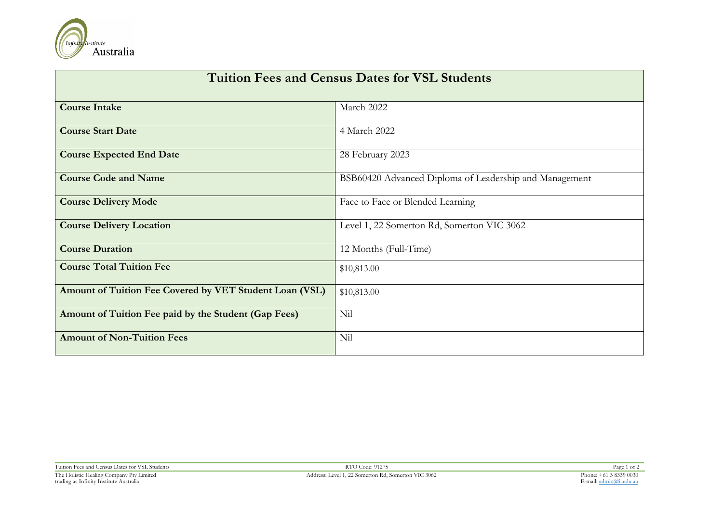

| <b>Tuition Fees and Census Dates for VSL Students</b>   |                                                        |  |  |  |
|---------------------------------------------------------|--------------------------------------------------------|--|--|--|
| <b>Course Intake</b>                                    | March 2022                                             |  |  |  |
| <b>Course Start Date</b>                                | 4 March 2022                                           |  |  |  |
| <b>Course Expected End Date</b>                         | 28 February 2023                                       |  |  |  |
| <b>Course Code and Name</b>                             | BSB60420 Advanced Diploma of Leadership and Management |  |  |  |
| <b>Course Delivery Mode</b>                             | Face to Face or Blended Learning                       |  |  |  |
| <b>Course Delivery Location</b>                         | Level 1, 22 Somerton Rd, Somerton VIC 3062             |  |  |  |
| <b>Course Duration</b>                                  | 12 Months (Full-Time)                                  |  |  |  |
| <b>Course Total Tuition Fee</b>                         | \$10,813.00                                            |  |  |  |
| Amount of Tuition Fee Covered by VET Student Loan (VSL) | \$10,813.00                                            |  |  |  |
| Amount of Tuition Fee paid by the Student (Gap Fees)    | Nil                                                    |  |  |  |
| <b>Amount of Non-Tuition Fees</b>                       | Nil                                                    |  |  |  |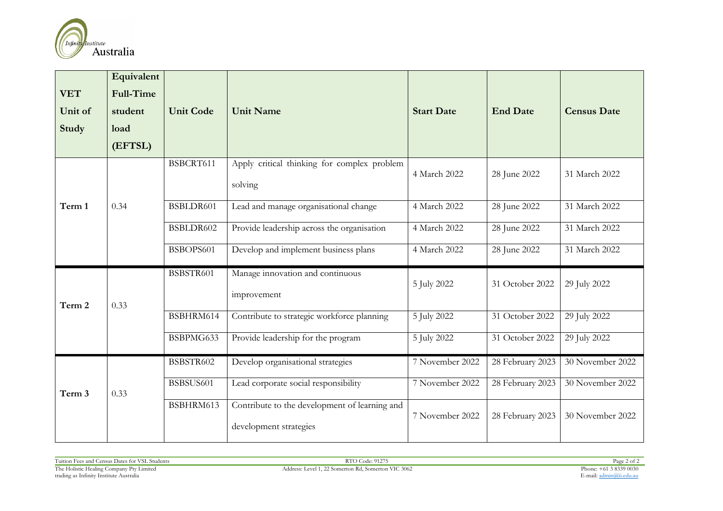

| <b>VET</b><br>Unit of<br><b>Study</b> | Equivalent<br><b>Full-Time</b><br>student<br>load<br>(EFTSL) | <b>Unit Code</b> | <b>Unit Name</b>                                                        | <b>Start Date</b> | <b>End Date</b>  | <b>Census Date</b> |
|---------------------------------------|--------------------------------------------------------------|------------------|-------------------------------------------------------------------------|-------------------|------------------|--------------------|
|                                       |                                                              | BSBCRT611        | Apply critical thinking for complex problem<br>solving                  | 4 March 2022      | 28 June 2022     | 31 March 2022      |
| Term 1                                | 0.34                                                         | BSBLDR601        | Lead and manage organisational change                                   | 4 March 2022      | 28 June 2022     | 31 March 2022      |
|                                       |                                                              | BSBLDR602        | Provide leadership across the organisation                              | 4 March 2022      | 28 June 2022     | 31 March 2022      |
|                                       |                                                              | BSBOPS601        | Develop and implement business plans                                    | 4 March 2022      | 28 June 2022     | 31 March 2022      |
| Term 2                                | 0.33                                                         | BSBSTR601        | Manage innovation and continuous<br>improvement                         | 5 July 2022       | 31 October 2022  | 29 July 2022       |
|                                       |                                                              | BSBHRM614        | Contribute to strategic workforce planning                              | 5 July 2022       | 31 October 2022  | 29 July 2022       |
|                                       |                                                              | BSBPMG633        | Provide leadership for the program                                      | 5 July 2022       | 31 October 2022  | 29 July 2022       |
|                                       |                                                              | BSBSTR602        | Develop organisational strategies                                       | 7 November 2022   | 28 February 2023 | 30 November 2022   |
| Term 3                                | 0.33                                                         | BSBSUS601        | Lead corporate social responsibility                                    | 7 November 2022   | 28 February 2023 | 30 November 2022   |
|                                       |                                                              | BSBHRM613        | Contribute to the development of learning and<br>development strategies | 7 November 2022   | 28 February 2023 | 30 November 2022   |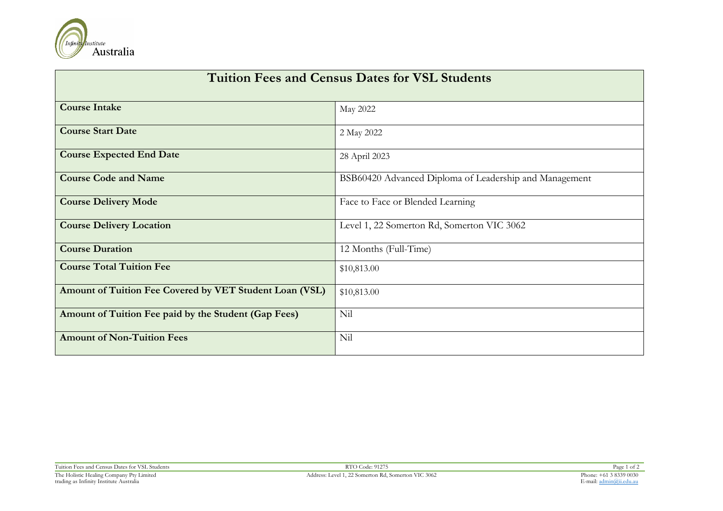

| <b>Tuition Fees and Census Dates for VSL Students</b>   |                                                        |  |  |  |
|---------------------------------------------------------|--------------------------------------------------------|--|--|--|
| <b>Course Intake</b>                                    | May 2022                                               |  |  |  |
| <b>Course Start Date</b>                                | 2 May 2022                                             |  |  |  |
| <b>Course Expected End Date</b>                         | 28 April 2023                                          |  |  |  |
| <b>Course Code and Name</b>                             | BSB60420 Advanced Diploma of Leadership and Management |  |  |  |
| <b>Course Delivery Mode</b>                             | Face to Face or Blended Learning                       |  |  |  |
| <b>Course Delivery Location</b>                         | Level 1, 22 Somerton Rd, Somerton VIC 3062             |  |  |  |
| <b>Course Duration</b>                                  | 12 Months (Full-Time)                                  |  |  |  |
| <b>Course Total Tuition Fee</b>                         | \$10,813.00                                            |  |  |  |
| Amount of Tuition Fee Covered by VET Student Loan (VSL) | \$10,813.00                                            |  |  |  |
| Amount of Tuition Fee paid by the Student (Gap Fees)    | Nil                                                    |  |  |  |
| <b>Amount of Non-Tuition Fees</b>                       | Nil                                                    |  |  |  |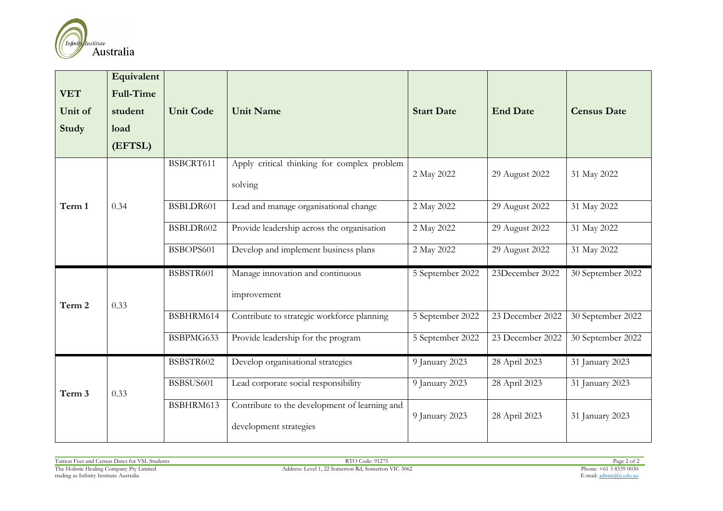

| <b>VET</b><br>Unit of<br>Study | Equivalent<br><b>Full-Time</b><br>student<br>load<br>(EFTSL) | <b>Unit Code</b> | <b>Unit Name</b>                                                        | <b>Start Date</b> | <b>End Date</b>  | <b>Census Date</b> |
|--------------------------------|--------------------------------------------------------------|------------------|-------------------------------------------------------------------------|-------------------|------------------|--------------------|
|                                |                                                              | BSBCRT611        | Apply critical thinking for complex problem<br>solving                  | 2 May 2022        | 29 August 2022   | 31 May 2022        |
| Term 1                         | 0.34                                                         | BSBLDR601        | Lead and manage organisational change                                   | 2 May 2022        | 29 August 2022   | 31 May 2022        |
|                                |                                                              | BSBLDR602        | Provide leadership across the organisation                              | 2 May 2022        | 29 August 2022   | 31 May 2022        |
|                                |                                                              | BSBOPS601        | Develop and implement business plans                                    | 2 May 2022        | 29 August 2022   | 31 May 2022        |
|                                |                                                              | BSBSTR601        | Manage innovation and continuous                                        | 5 September 2022  | 23December 2022  | 30 September 2022  |
| Term 2                         | 0.33                                                         |                  | improvement                                                             |                   |                  |                    |
|                                |                                                              | BSBHRM614        | Contribute to strategic workforce planning                              | 5 September 2022  | 23 December 2022 | 30 September 2022  |
|                                |                                                              | BSBPMG633        | Provide leadership for the program                                      | 5 September 2022  | 23 December 2022 | 30 September 2022  |
|                                |                                                              | BSBSTR602        | Develop organisational strategies                                       | 9 January 2023    | 28 April 2023    | 31 January 2023    |
| Term 3                         | 0.33                                                         | BSBSUS601        | Lead corporate social responsibility                                    | 9 January 2023    | 28 April 2023    | 31 January 2023    |
|                                |                                                              | BSBHRM613        | Contribute to the development of learning and<br>development strategies | 9 January 2023    | 28 April 2023    | 31 January 2023    |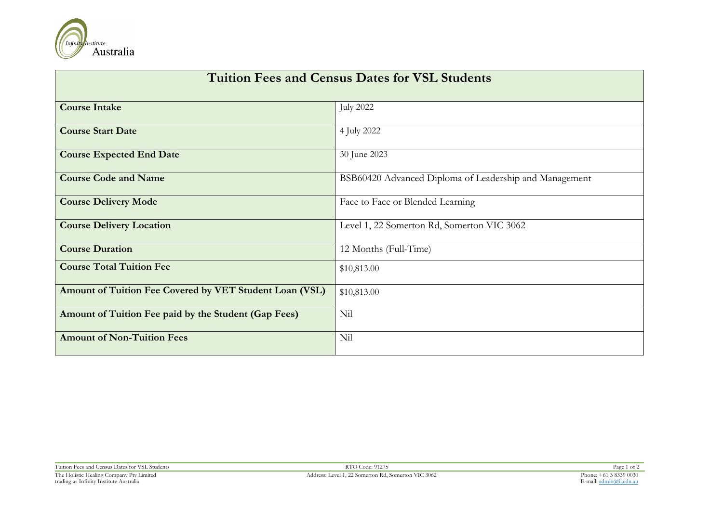

| <b>Tuition Fees and Census Dates for VSL Students</b>   |                                                        |  |  |  |
|---------------------------------------------------------|--------------------------------------------------------|--|--|--|
| <b>Course Intake</b>                                    | <b>July 2022</b>                                       |  |  |  |
| <b>Course Start Date</b>                                | 4 July 2022                                            |  |  |  |
| <b>Course Expected End Date</b>                         | 30 June 2023                                           |  |  |  |
| <b>Course Code and Name</b>                             | BSB60420 Advanced Diploma of Leadership and Management |  |  |  |
| <b>Course Delivery Mode</b>                             | Face to Face or Blended Learning                       |  |  |  |
| <b>Course Delivery Location</b>                         | Level 1, 22 Somerton Rd, Somerton VIC 3062             |  |  |  |
| <b>Course Duration</b>                                  | 12 Months (Full-Time)                                  |  |  |  |
| <b>Course Total Tuition Fee</b>                         | \$10,813.00                                            |  |  |  |
| Amount of Tuition Fee Covered by VET Student Loan (VSL) | \$10,813.00                                            |  |  |  |
| Amount of Tuition Fee paid by the Student (Gap Fees)    | Nil                                                    |  |  |  |
| <b>Amount of Non-Tuition Fees</b>                       | Nil                                                    |  |  |  |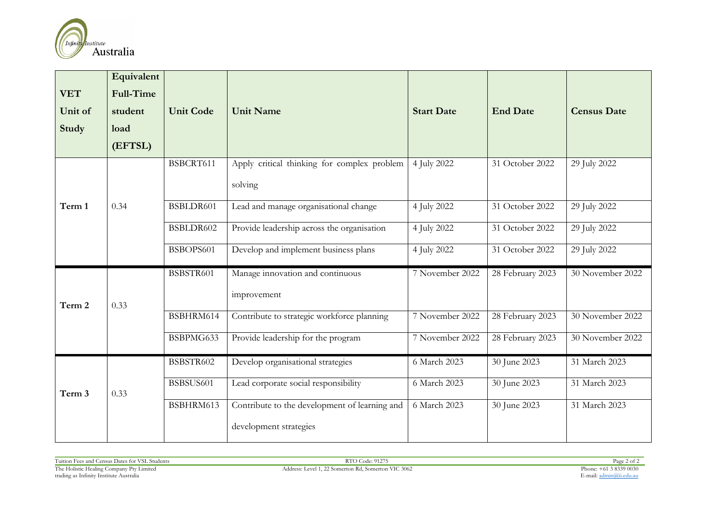

|            | Equivalent       |                  |                                               |                   |                  |                    |
|------------|------------------|------------------|-----------------------------------------------|-------------------|------------------|--------------------|
| <b>VET</b> | <b>Full-Time</b> |                  |                                               |                   |                  |                    |
| Unit of    | student          | <b>Unit Code</b> | <b>Unit Name</b>                              | <b>Start Date</b> | <b>End Date</b>  | <b>Census Date</b> |
| Study      | load             |                  |                                               |                   |                  |                    |
|            | (EFTSL)          |                  |                                               |                   |                  |                    |
|            | 0.34             | BSBCRT611        | Apply critical thinking for complex problem   | 4 July 2022       | 31 October 2022  | 29 July 2022       |
| Term 1     |                  |                  | solving                                       |                   |                  |                    |
|            |                  | BSBLDR601        | Lead and manage organisational change         | 4 July 2022       | 31 October 2022  | 29 July 2022       |
|            |                  | BSBLDR602        | Provide leadership across the organisation    | 4 July 2022       | 31 October 2022  | 29 July 2022       |
|            |                  | BSBOPS601        | Develop and implement business plans          | 4 July 2022       | 31 October 2022  | 29 July 2022       |
|            |                  | BSBSTR601        | Manage innovation and continuous              | 7 November 2022   | 28 February 2023 | 30 November 2022   |
| Term 2     | 0.33             |                  | improvement                                   |                   |                  |                    |
|            |                  | BSBHRM614        | Contribute to strategic workforce planning    | 7 November 2022   | 28 February 2023 | 30 November 2022   |
|            |                  | BSBPMG633        | Provide leadership for the program            | 7 November 2022   | 28 February 2023 | 30 November 2022   |
| Term 3     | 0.33             | BSBSTR602        | Develop organisational strategies             | 6 March 2023      | 30 June 2023     | 31 March 2023      |
|            |                  | BSBSUS601        | Lead corporate social responsibility          | 6 March 2023      | 30 June 2023     | 31 March 2023      |
|            |                  | BSBHRM613        | Contribute to the development of learning and | 6 March 2023      | 30 June 2023     | 31 March 2023      |
|            |                  |                  | development strategies                        |                   |                  |                    |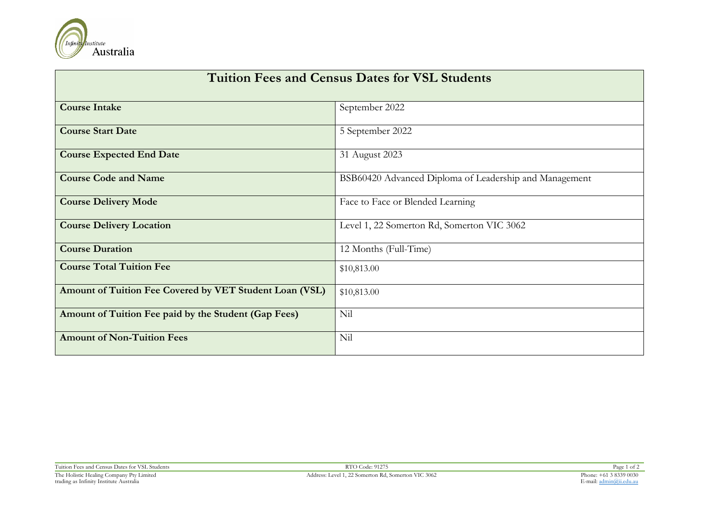

| <b>Tuition Fees and Census Dates for VSL Students</b>   |                                                        |  |  |  |
|---------------------------------------------------------|--------------------------------------------------------|--|--|--|
| <b>Course Intake</b>                                    | September 2022                                         |  |  |  |
| <b>Course Start Date</b>                                | 5 September 2022                                       |  |  |  |
| <b>Course Expected End Date</b>                         | 31 August 2023                                         |  |  |  |
| <b>Course Code and Name</b>                             | BSB60420 Advanced Diploma of Leadership and Management |  |  |  |
| <b>Course Delivery Mode</b>                             | Face to Face or Blended Learning                       |  |  |  |
| <b>Course Delivery Location</b>                         | Level 1, 22 Somerton Rd, Somerton VIC 3062             |  |  |  |
| <b>Course Duration</b>                                  | 12 Months (Full-Time)                                  |  |  |  |
| <b>Course Total Tuition Fee</b>                         | \$10,813.00                                            |  |  |  |
| Amount of Tuition Fee Covered by VET Student Loan (VSL) | \$10,813.00                                            |  |  |  |
| Amount of Tuition Fee paid by the Student (Gap Fees)    | Nil                                                    |  |  |  |
| <b>Amount of Non-Tuition Fees</b>                       | Nil                                                    |  |  |  |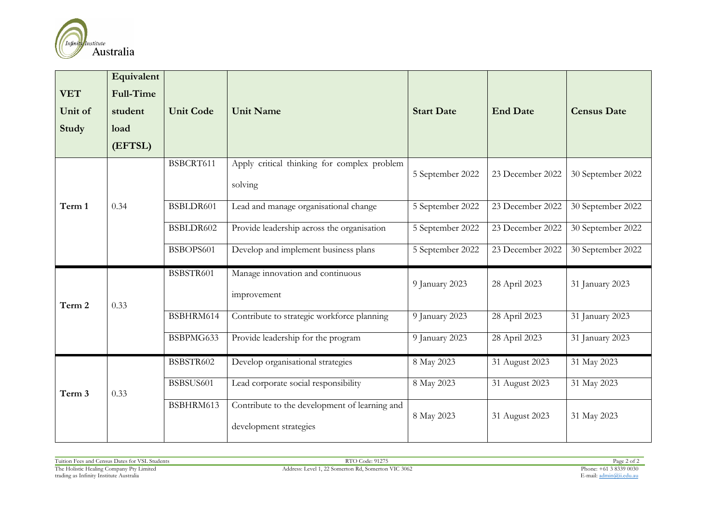

| <b>VET</b><br>Unit of | Equivalent<br><b>Full-Time</b> | <b>Unit Code</b> | <b>Unit Name</b>                                                        | <b>Start Date</b> | <b>End Date</b>  | <b>Census Date</b> |
|-----------------------|--------------------------------|------------------|-------------------------------------------------------------------------|-------------------|------------------|--------------------|
|                       | student                        |                  |                                                                         |                   |                  |                    |
| Study                 | load<br>(EFTSL)                |                  |                                                                         |                   |                  |                    |
|                       |                                |                  |                                                                         |                   |                  |                    |
|                       | 0.34                           | BSBCRT611        | Apply critical thinking for complex problem                             | 5 September 2022  | 23 December 2022 | 30 September 2022  |
| Term 1                |                                |                  | solving                                                                 |                   |                  |                    |
|                       |                                | BSBLDR601        | Lead and manage organisational change                                   | 5 September 2022  | 23 December 2022 | 30 September 2022  |
|                       |                                | BSBLDR602        | Provide leadership across the organisation                              | 5 September 2022  | 23 December 2022 | 30 September 2022  |
|                       |                                | BSBOPS601        | Develop and implement business plans                                    | 5 September 2022  | 23 December 2022 | 30 September 2022  |
| Term 2                | 0.33                           | BSBSTR601        | Manage innovation and continuous<br>improvement                         | 9 January 2023    | 28 April 2023    | 31 January 2023    |
|                       |                                | BSBHRM614        | Contribute to strategic workforce planning                              | 9 January 2023    | 28 April 2023    | 31 January 2023    |
|                       |                                | BSBPMG633        | Provide leadership for the program                                      | 9 January 2023    | 28 April 2023    | 31 January 2023    |
| Term 3                | 0.33                           | BSBSTR602        | Develop organisational strategies                                       | 8 May 2023        | 31 August 2023   | 31 May 2023        |
|                       |                                | BSBSUS601        | Lead corporate social responsibility                                    | 8 May 2023        | 31 August 2023   | 31 May 2023        |
|                       |                                | BSBHRM613        | Contribute to the development of learning and<br>development strategies | 8 May 2023        | 31 August 2023   | 31 May 2023        |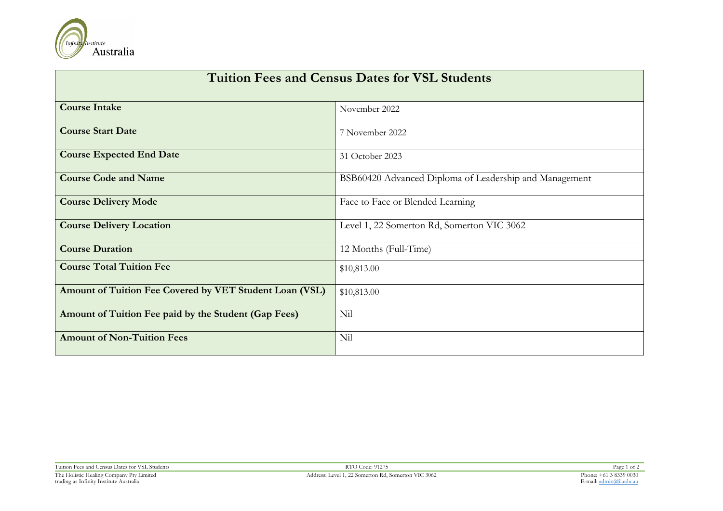

| <b>Tuition Fees and Census Dates for VSL Students</b>   |                                                        |  |  |  |
|---------------------------------------------------------|--------------------------------------------------------|--|--|--|
| <b>Course Intake</b>                                    | November 2022                                          |  |  |  |
| <b>Course Start Date</b>                                | 7 November 2022                                        |  |  |  |
| <b>Course Expected End Date</b>                         | 31 October 2023                                        |  |  |  |
| <b>Course Code and Name</b>                             | BSB60420 Advanced Diploma of Leadership and Management |  |  |  |
| <b>Course Delivery Mode</b>                             | Face to Face or Blended Learning                       |  |  |  |
| <b>Course Delivery Location</b>                         | Level 1, 22 Somerton Rd, Somerton VIC 3062             |  |  |  |
| <b>Course Duration</b>                                  | 12 Months (Full-Time)                                  |  |  |  |
| <b>Course Total Tuition Fee</b>                         | \$10,813.00                                            |  |  |  |
| Amount of Tuition Fee Covered by VET Student Loan (VSL) | \$10,813.00                                            |  |  |  |
| Amount of Tuition Fee paid by the Student (Gap Fees)    | Nil                                                    |  |  |  |
| <b>Amount of Non-Tuition Fees</b>                       | Nil                                                    |  |  |  |